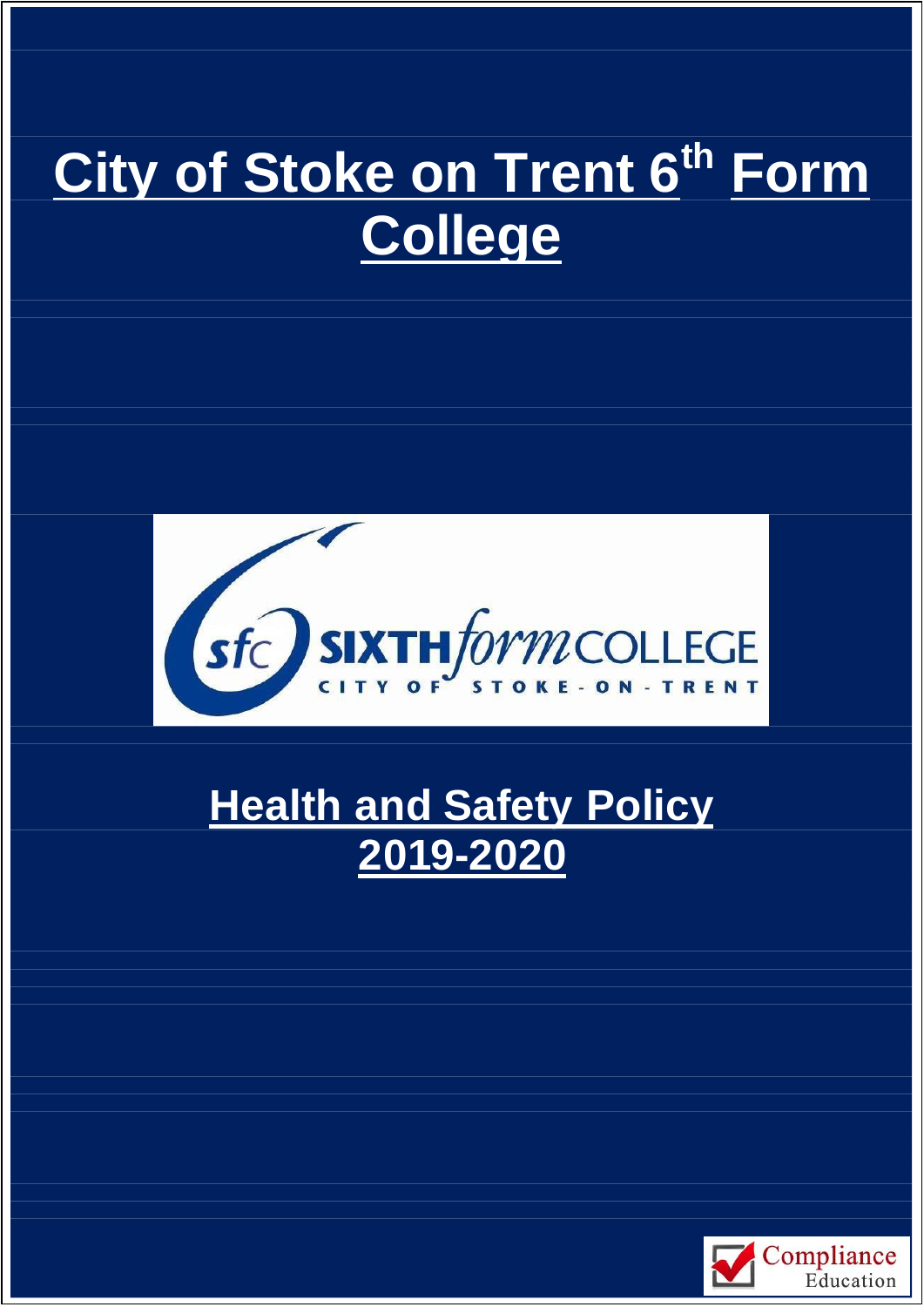# **City of Stoke on Trent 6th Form College**



# **Health and Safety Policy 2019-2020**

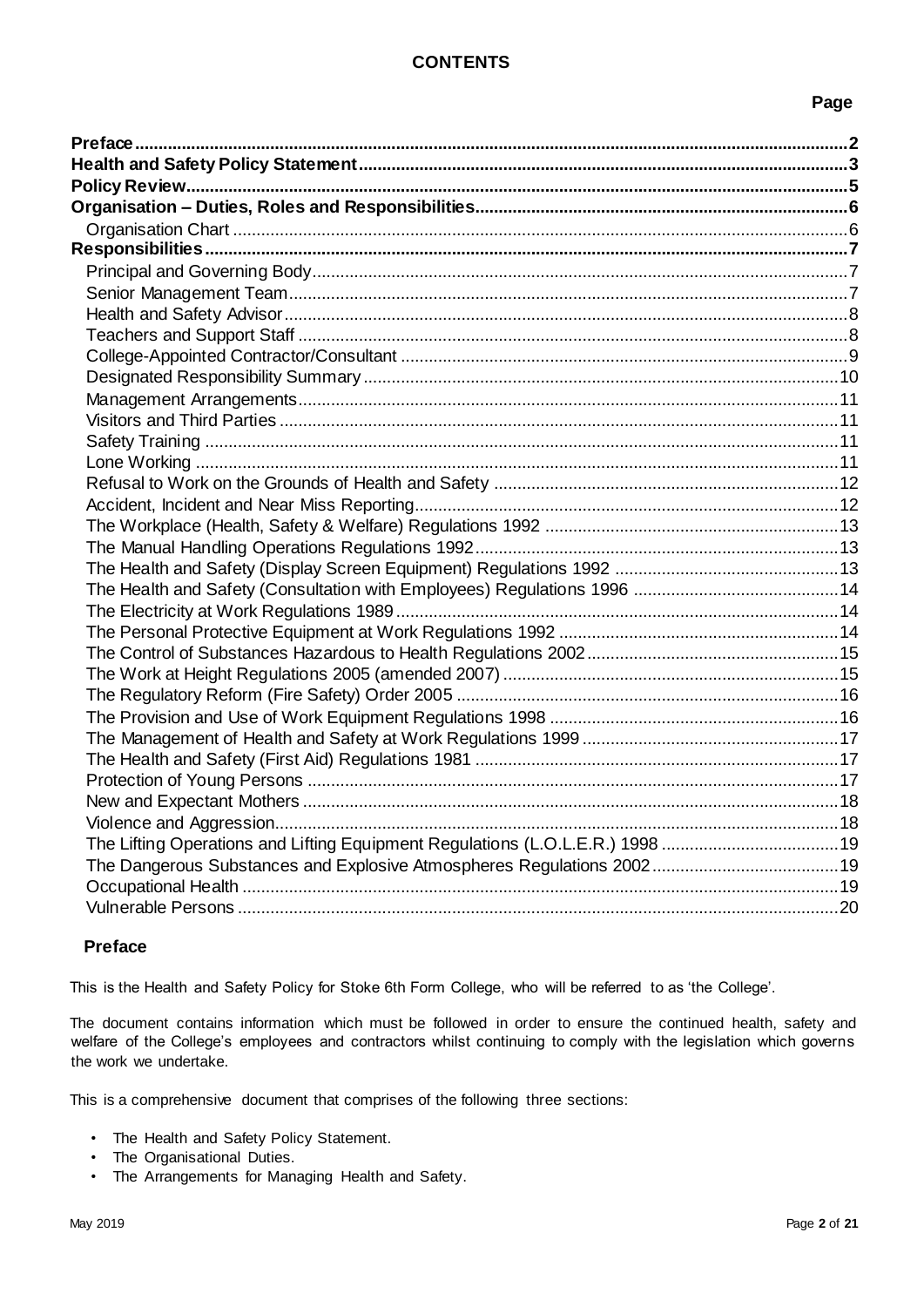# **Page**

# <span id="page-1-0"></span>**Preface**

This is the Health and Safety Policy for Stoke 6th Form College, who will be referred to as 'the College'.

The document contains information which must be followed in order to ensure the continued health, safety and welfare of the College's employees and contractors whilst continuing to comply with the legislation which governs the work we undertake.

This is a comprehensive document that comprises of the following three sections:

- The Health and Safety Policy Statement.
- The Organisational Duties.
- The Arrangements for Managing Health and Safety.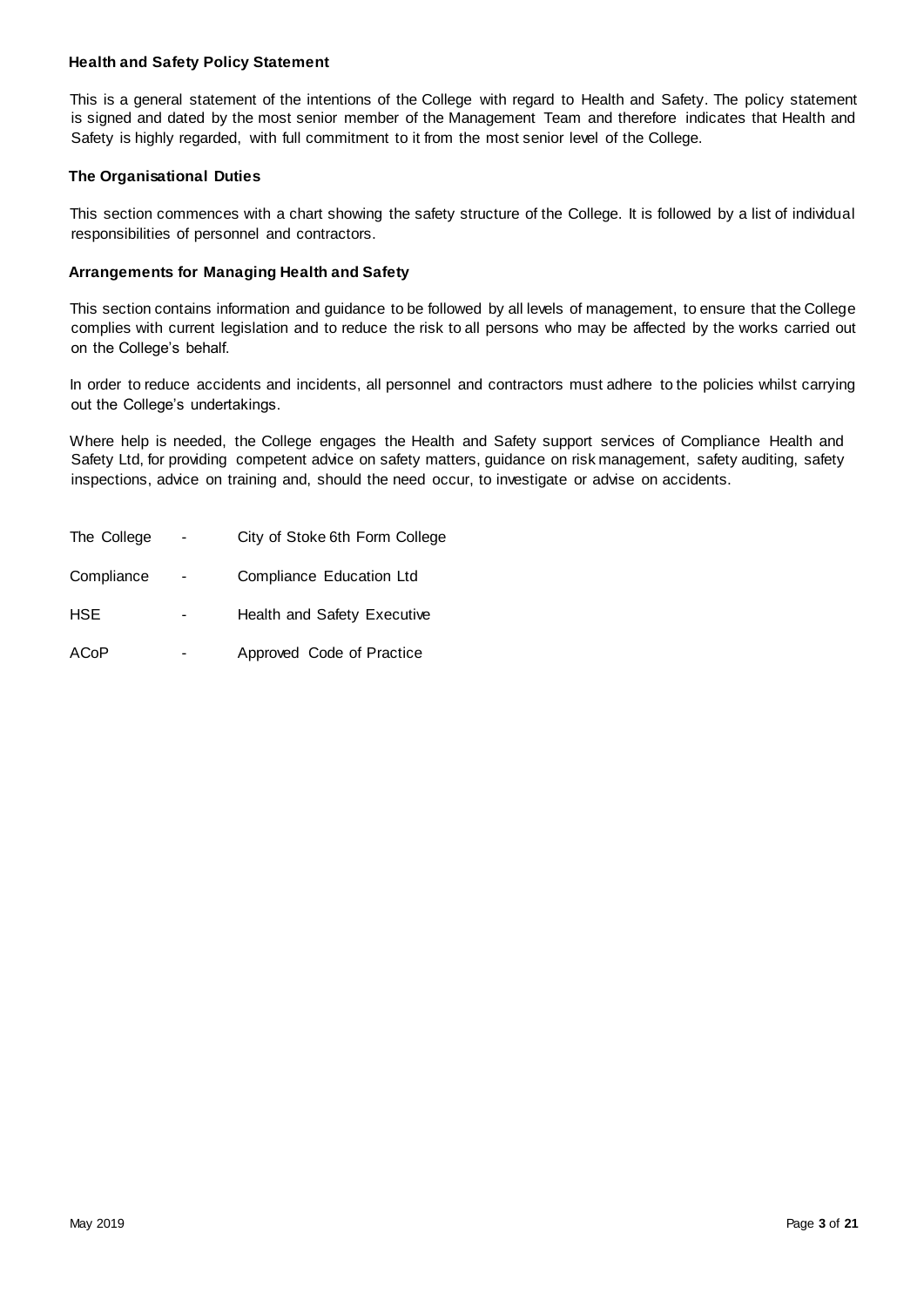#### <span id="page-2-0"></span>**Health and Safety Policy Statement**

This is a general statement of the intentions of the College with regard to Health and Safety. The policy statement is signed and dated by the most senior member of the Management Team and therefore indicates that Health and Safety is highly regarded, with full commitment to it from the most senior level of the College.

#### **The Organisational Duties**

This section commences with a chart showing the safety structure of the College. It is followed by a list of individual responsibilities of personnel and contractors.

#### **Arrangements for Managing Health and Safety**

This section contains information and guidance to be followed by all levels of management, to ensure that the College complies with current legislation and to reduce the risk to all persons who may be affected by the works carried out on the College's behalf.

In order to reduce accidents and incidents, all personnel and contractors must adhere to the policies whilst carrying out the College's undertakings.

Where help is needed, the College engages the Health and Safety support services of Compliance Health and Safety Ltd, for providing competent advice on safety matters, guidance on risk management, safety auditing, safety inspections, advice on training and, should the need occur, to investigate or advise on accidents.

| The College | City of Stoke 6th Form College |
|-------------|--------------------------------|
| Compliance  | Compliance Education Ltd       |
| <b>HSE</b>  | Health and Safety Executive    |
| ACoP        | Approved Code of Practice      |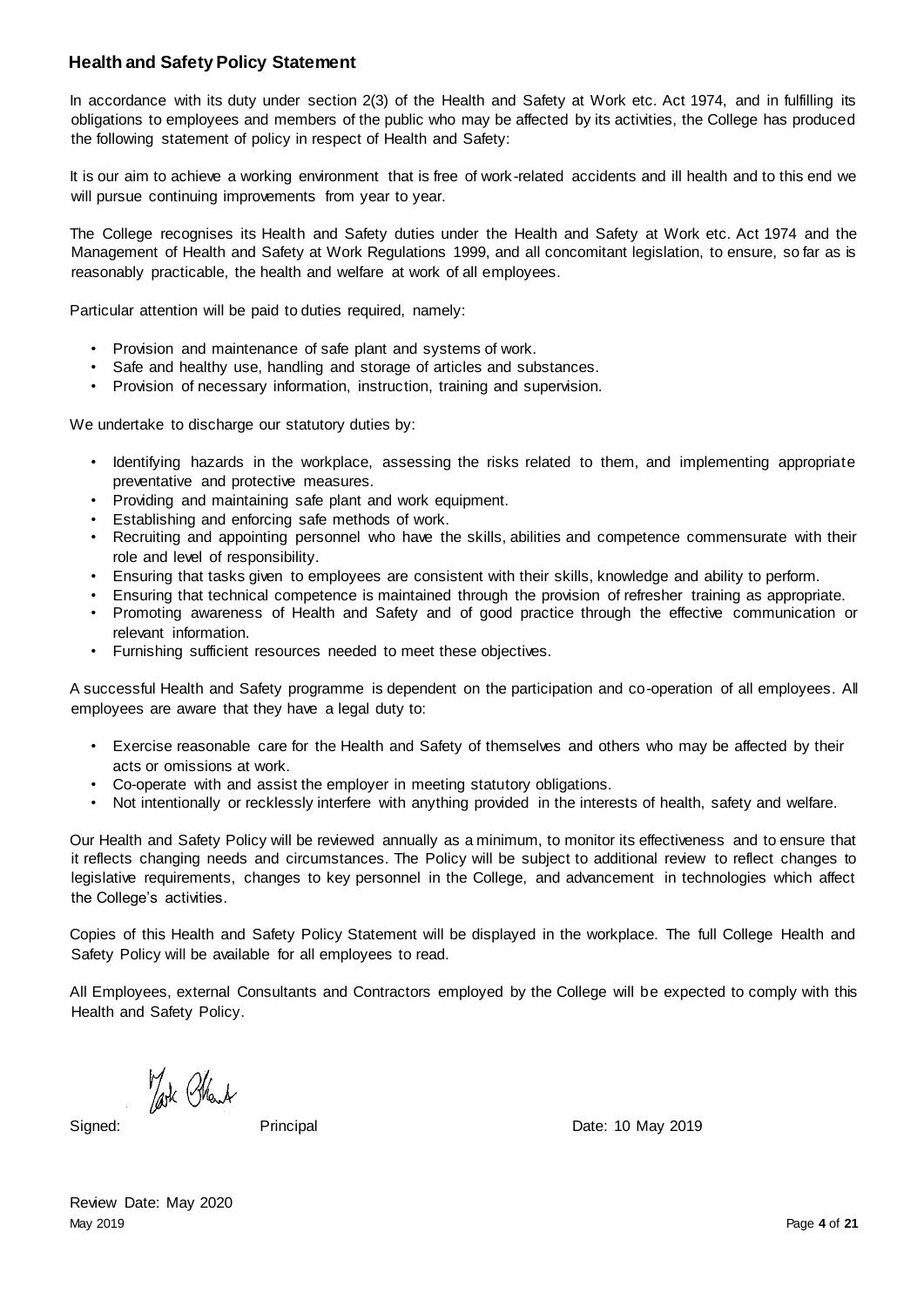# **Health and Safety Policy Statement**

In accordance with its duty under section 2(3) of the Health and Safety at Work etc. Act 1974, and in fulfilling its obligations to employees and members of the public who may be affected by its activities, the College has produced the following statement of policy in respect of Health and Safety:

It is our aim to achieve a working environment that is free of work-related accidents and ill health and to this end we will pursue continuing improvements from year to year.

The College recognises its Health and Safety duties under the Health and Safety at Work etc. Act 1974 and the Management of Health and Safety at Work Regulations 1999, and all concomitant legislation, to ensure, so far as is reasonably practicable, the health and welfare at work of all employees.

Particular attention will be paid to duties required, namely:

- Provision and maintenance of safe plant and systems of work.
- Safe and healthy use, handling and storage of articles and substances.
- Provision of necessary information, instruction, training and supervision.

We undertake to discharge our statutory duties by:

- Identifying hazards in the workplace, assessing the risks related to them, and implementing appropriate preventative and protective measures.
- Providing and maintaining safe plant and work equipment.
- Establishing and enforcing safe methods of work.
- Recruiting and appointing personnel who have the skills, abilities and competence commensurate with their role and level of responsibility.
- Ensuring that tasks given to employees are consistent with their skills, knowledge and ability to perform.
- Ensuring that technical competence is maintained through the provision of refresher training as appropriate. • Promoting awareness of Health and Safety and of good practice through the effective communication or
- relevant information. • Furnishing sufficient resources needed to meet these objectives.

A successful Health and Safety programme is dependent on the participation and co-operation of all employees. All employees are aware that they have a legal duty to:

- Exercise reasonable care for the Health and Safety of themselves and others who may be affected by their acts or omissions at work.
- Co-operate with and assist the employer in meeting statutory obligations.
- Not intentionally or recklessly interfere with anything provided in the interests of health, safety and welfare.

Our Health and Safety Policy will be reviewed annually as a minimum, to monitor its effectiveness and to ensure that it reflects changing needs and circumstances. The Policy will be subject to additional review to reflect changes to legislative requirements, changes to key personnel in the College, and advancement in technologies which affect the College's activities.

Copies of this Health and Safety Policy Statement will be displayed in the workplace. The full College Health and Safety Policy will be available for all employees to read.

All Employees, external Consultants and Contractors employed by the College will be expected to comply with this Health and Safety Policy.

Took Charl

Signed: Principal Principal Date: 10 May 2019

May 2019 Page **4** of **21** Review Date: May 2020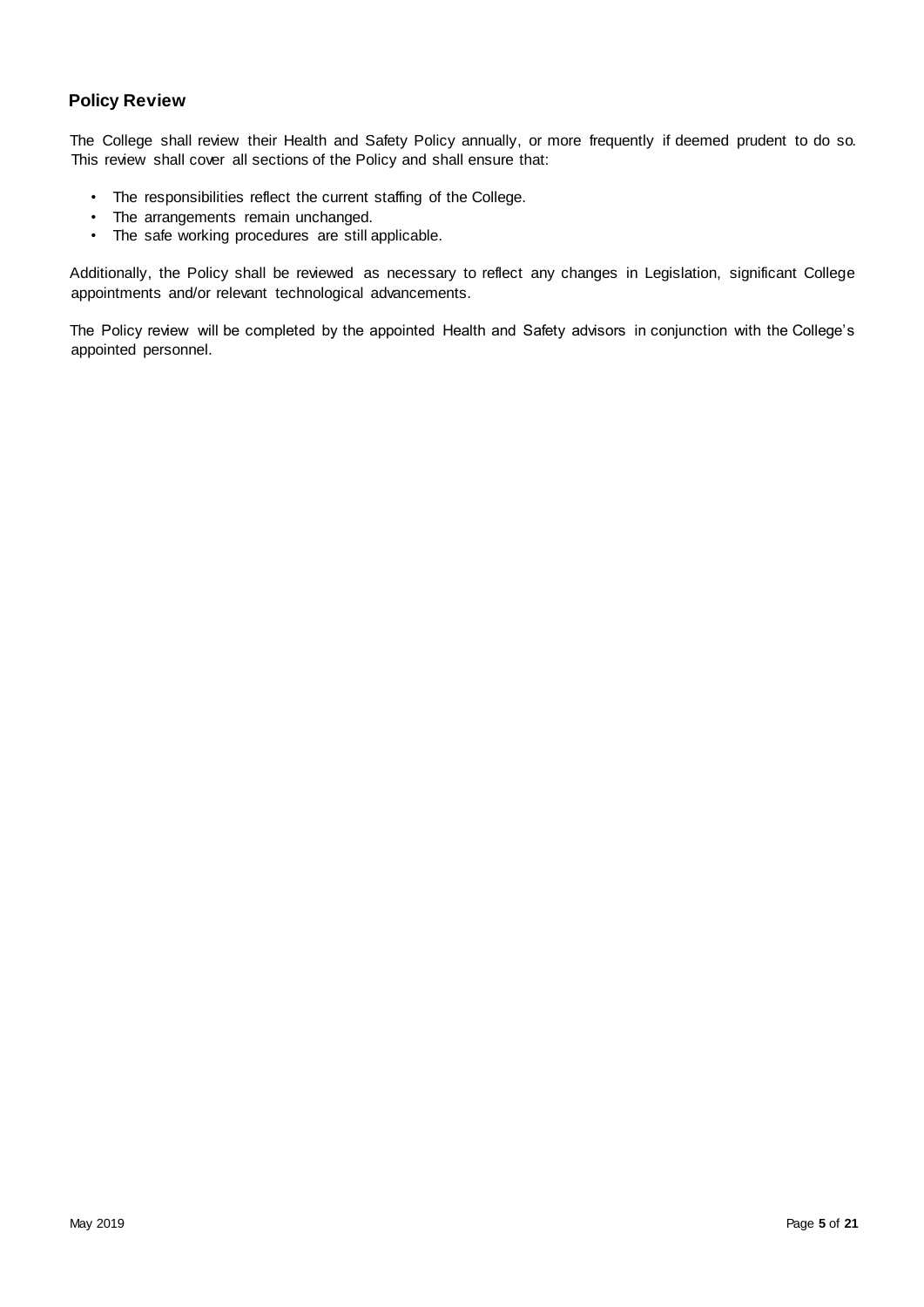# <span id="page-4-0"></span>**Policy Review**

The College shall review their Health and Safety Policy annually, or more frequently if deemed prudent to do so. This review shall cover all sections of the Policy and shall ensure that:

- The responsibilities reflect the current staffing of the College.
- The arrangements remain unchanged.
- The safe working procedures are still applicable.

Additionally, the Policy shall be reviewed as necessary to reflect any changes in Legislation, significant College appointments and/or relevant technological advancements.

The Policy review will be completed by the appointed Health and Safety advisors in conjunction with the College's appointed personnel.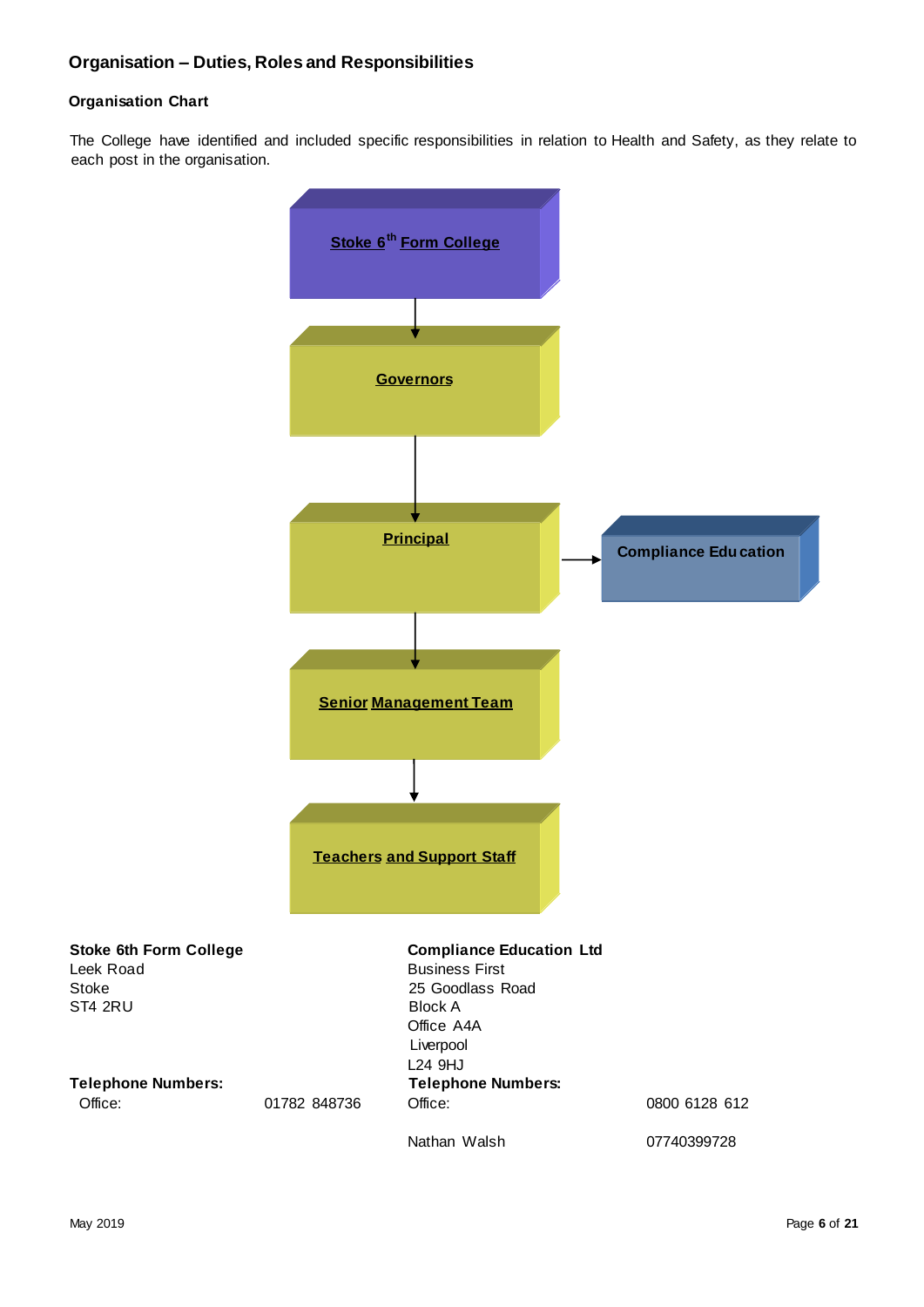### <span id="page-5-1"></span><span id="page-5-0"></span>**Organisation Chart**

The College have identified and included specific responsibilities in relation to Health and Safety, as they relate to each post in the organisation.

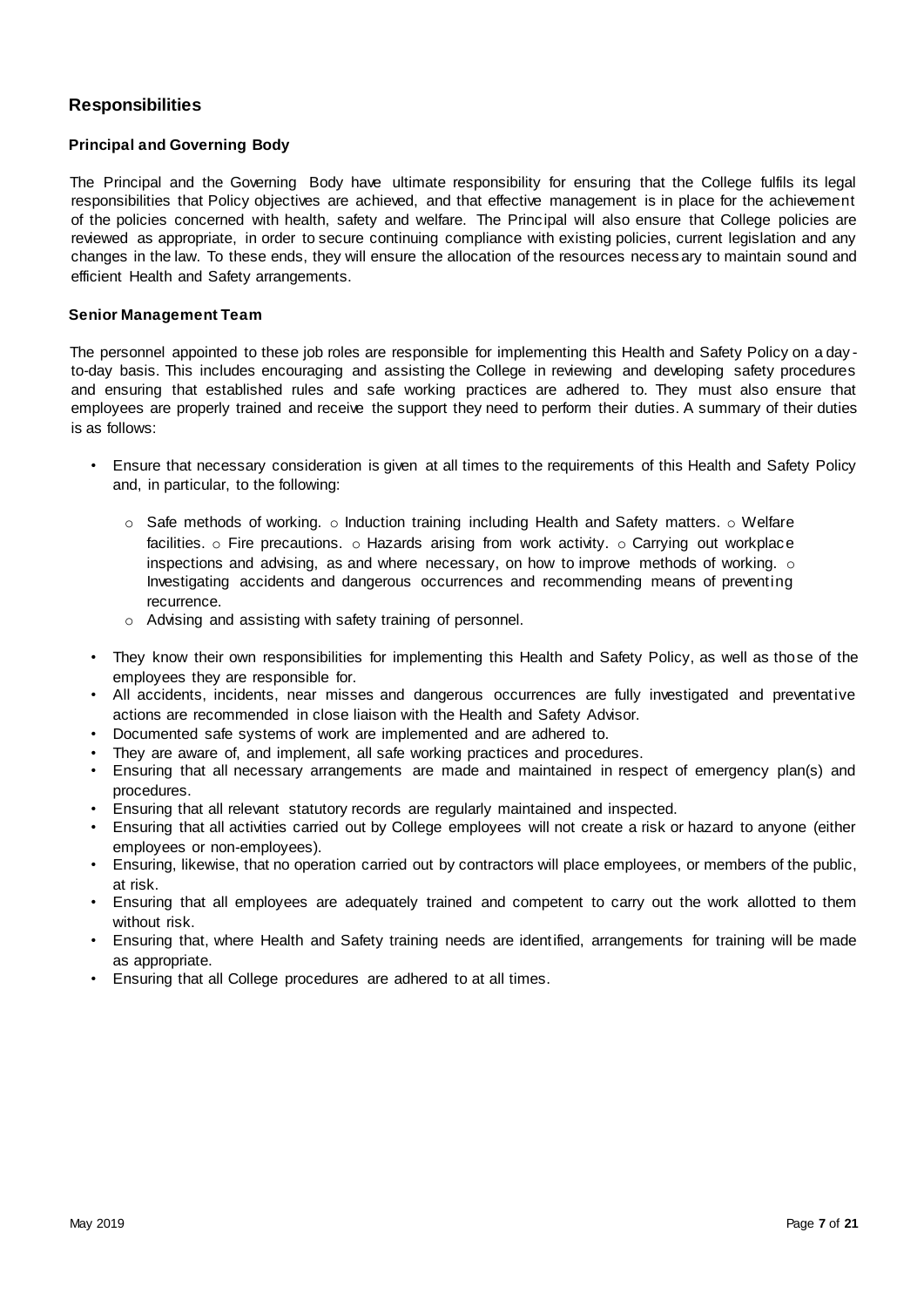# <span id="page-6-0"></span>**Responsibilities**

#### <span id="page-6-1"></span>**Principal and Governing Body**

The Principal and the Governing Body have ultimate responsibility for ensuring that the College fulfils its legal responsibilities that Policy objectives are achieved, and that effective management is in place for the achievement of the policies concerned with health, safety and welfare. The Principal will also ensure that College policies are reviewed as appropriate, in order to secure continuing compliance with existing policies, current legislation and any changes in the law. To these ends, they will ensure the allocation of the resources necess ary to maintain sound and efficient Health and Safety arrangements.

#### <span id="page-6-2"></span>**Senior Management Team**

The personnel appointed to these job roles are responsible for implementing this Health and Safety Policy on a day to-day basis. This includes encouraging and assisting the College in reviewing and developing safety procedures and ensuring that established rules and safe working practices are adhered to. They must also ensure that employees are properly trained and receive the support they need to perform their duties. A summary of their duties is as follows:

- Ensure that necessary consideration is given at all times to the requirements of this Health and Safety Policy and, in particular, to the following:
	- $\circ$  Safe methods of working.  $\circ$  Induction training including Health and Safety matters.  $\circ$  Welfare facilities.  $\circ$  Fire precautions.  $\circ$  Hazards arising from work activity.  $\circ$  Carrying out workplace inspections and advising, as and where necessary, on how to improve methods of working.  $\circ$ Investigating accidents and dangerous occurrences and recommending means of preventing recurrence.
	- o Advising and assisting with safety training of personnel.
- They know their own responsibilities for implementing this Health and Safety Policy, as well as those of the employees they are responsible for.
- All accidents, incidents, near misses and dangerous occurrences are fully investigated and preventative actions are recommended in close liaison with the Health and Safety Advisor.
- Documented safe systems of work are implemented and are adhered to.
- They are aware of, and implement, all safe working practices and procedures.
- Ensuring that all necessary arrangements are made and maintained in respect of emergency plan(s) and procedures.
- Ensuring that all relevant statutory records are regularly maintained and inspected.
- Ensuring that all activities carried out by College employees will not create a risk or hazard to anyone (either employees or non-employees).
- Ensuring, likewise, that no operation carried out by contractors will place employees, or members of the public, at risk.
- Ensuring that all employees are adequately trained and competent to carry out the work allotted to them without risk.
- Ensuring that, where Health and Safety training needs are identified, arrangements for training will be made as appropriate.
- <span id="page-6-3"></span>• Ensuring that all College procedures are adhered to at all times.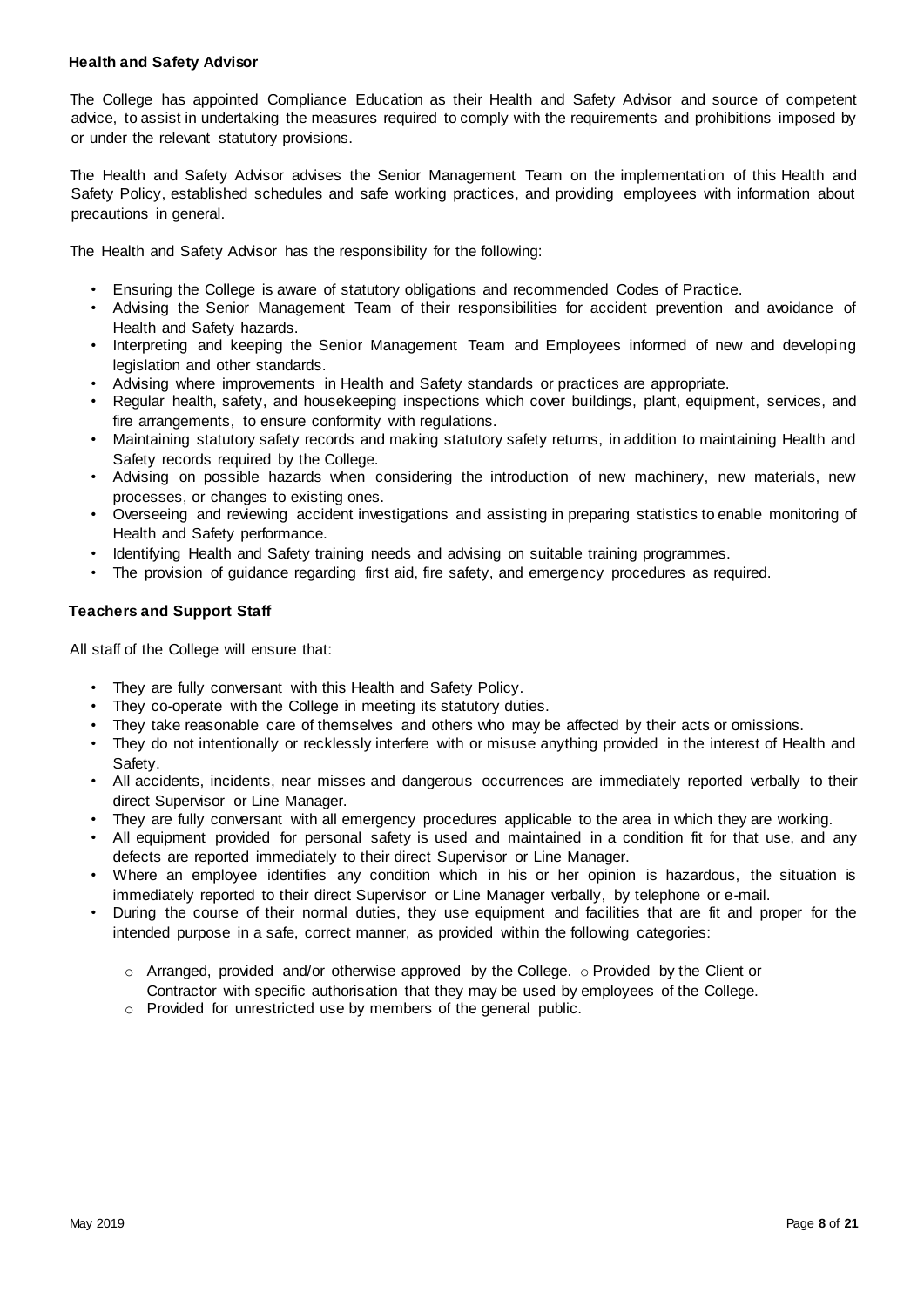#### **Health and Safety Advisor**

The College has appointed Compliance Education as their Health and Safety Advisor and source of competent advice, to assist in undertaking the measures required to comply with the requirements and prohibitions imposed by or under the relevant statutory provisions.

The Health and Safety Advisor advises the Senior Management Team on the implementation of this Health and Safety Policy, established schedules and safe working practices, and providing employees with information about precautions in general.

The Health and Safety Advisor has the responsibility for the following:

- Ensuring the College is aware of statutory obligations and recommended Codes of Practice.
- Advising the Senior Management Team of their responsibilities for accident prevention and avoidance of Health and Safety hazards.
- Interpreting and keeping the Senior Management Team and Employees informed of new and developing legislation and other standards.
- Advising where improvements in Health and Safety standards or practices are appropriate.
- Regular health, safety, and housekeeping inspections which cover buildings, plant, equipment, services, and fire arrangements, to ensure conformity with regulations.
- Maintaining statutory safety records and making statutory safety returns, in addition to maintaining Health and Safety records required by the College.
- Advising on possible hazards when considering the introduction of new machinery, new materials, new processes, or changes to existing ones.
- Overseeing and reviewing accident investigations and assisting in preparing statistics to enable monitoring of Health and Safety performance.
- Identifying Health and Safety training needs and advising on suitable training programmes.
- The provision of quidance regarding first aid, fire safety, and emergency procedures as required.

#### <span id="page-7-0"></span>**Teachers and Support Staff**

All staff of the College will ensure that:

- They are fully conversant with this Health and Safety Policy.
- They co-operate with the College in meeting its statutory duties.
- They take reasonable care of themselves and others who may be affected by their acts or omissions.
- They do not intentionally or recklessly interfere with or misuse anything provided in the interest of Health and Safety.
- All accidents, incidents, near misses and dangerous occurrences are immediately reported verbally to their direct Supervisor or Line Manager.
- They are fully conversant with all emergency procedures applicable to the area in which they are working.
- All equipment provided for personal safety is used and maintained in a condition fit for that use, and any defects are reported immediately to their direct Supervisor or Line Manager.
- Where an employee identifies any condition which in his or her opinion is hazardous, the situation is immediately reported to their direct Supervisor or Line Manager verbally, by telephone or e-mail.
- <span id="page-7-1"></span>• During the course of their normal duties, they use equipment and facilities that are fit and proper for the intended purpose in a safe, correct manner, as provided within the following categories:
	- $\circ$  Arranged, provided and/or otherwise approved by the College.  $\circ$  Provided by the Client or Contractor with specific authorisation that they may be used by employees of the College.
	- o Provided for unrestricted use by members of the general public.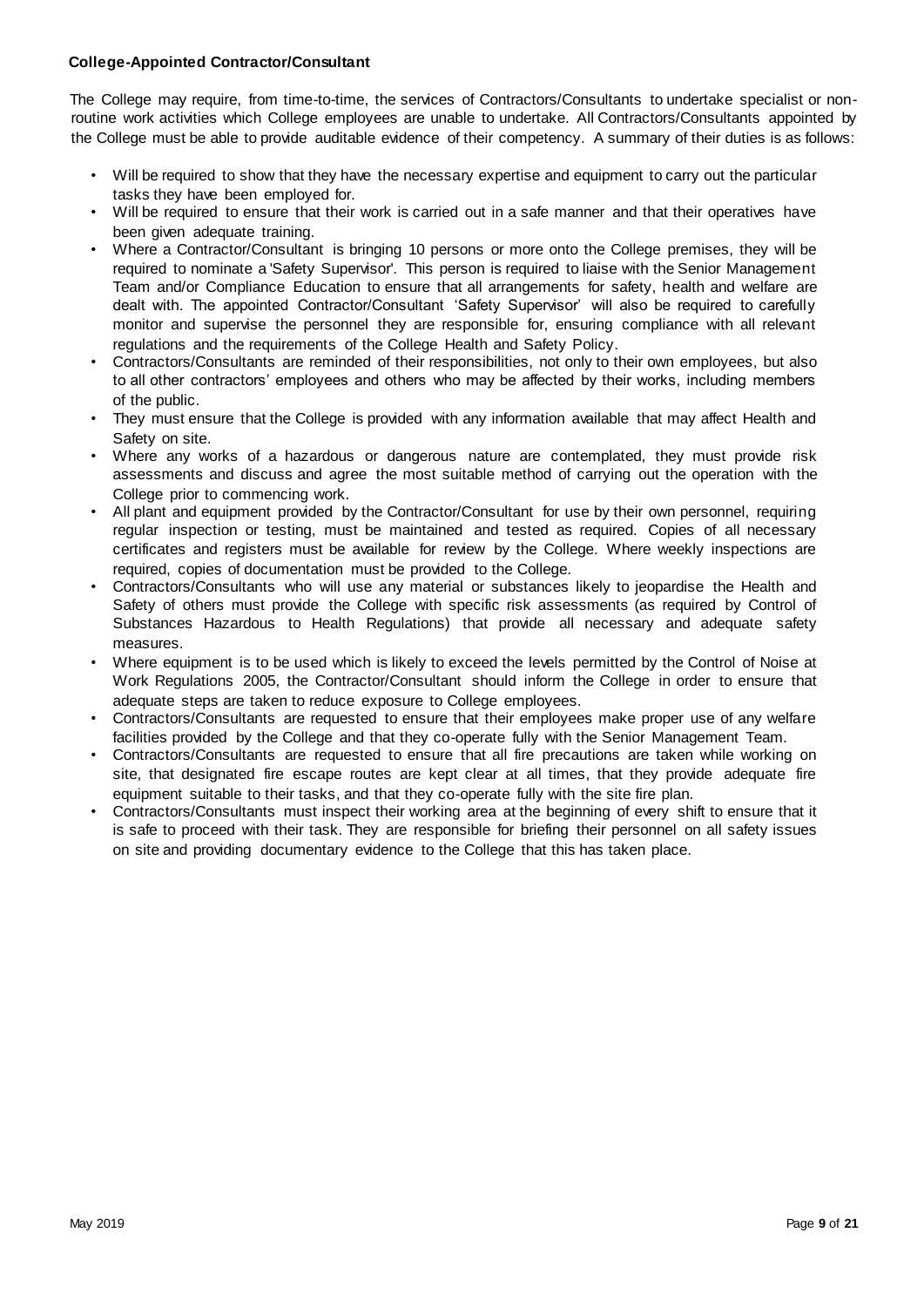#### **College-Appointed Contractor/Consultant**

The College may require, from time-to-time, the services of Contractors/Consultants to undertake specialist or nonroutine work activities which College employees are unable to undertake. All Contractors/Consultants appointed by the College must be able to provide auditable evidence of their competency. A summary of their duties is as follows:

- Will be required to show that they have the necessary expertise and equipment to carry out the particular tasks they have been employed for.
- Will be required to ensure that their work is carried out in a safe manner and that their operatives have been given adequate training.
- Where a Contractor/Consultant is bringing 10 persons or more onto the College premises, they will be required to nominate a 'Safety Supervisor'. This person is required to liaise with the Senior Management Team and/or Compliance Education to ensure that all arrangements for safety, health and welfare are dealt with. The appointed Contractor/Consultant 'Safety Supervisor' will also be required to carefully monitor and supervise the personnel they are responsible for, ensuring compliance with all relevant regulations and the requirements of the College Health and Safety Policy.
- Contractors/Consultants are reminded of their responsibilities, not only to their own employees, but also to all other contractors' employees and others who may be affected by their works, including members of the public.
- They must ensure that the College is provided with any information available that may affect Health and Safety on site.
- Where any works of a hazardous or dangerous nature are contemplated, they must provide risk assessments and discuss and agree the most suitable method of carrying out the operation with the College prior to commencing work.
- All plant and equipment provided by the Contractor/Consultant for use by their own personnel, requiring regular inspection or testing, must be maintained and tested as required. Copies of all necessary certificates and registers must be available for review by the College. Where weekly inspections are required, copies of documentation must be provided to the College.
- Contractors/Consultants who will use any material or substances likely to jeopardise the Health and Safety of others must provide the College with specific risk assessments (as required by Control of Substances Hazardous to Health Regulations) that provide all necessary and adequate safety measures.
- Where equipment is to be used which is likely to exceed the levels permitted by the Control of Noise at Work Regulations 2005, the Contractor/Consultant should inform the College in order to ensure that adequate steps are taken to reduce exposure to College employees.
- Contractors/Consultants are requested to ensure that their employees make proper use of any welfare facilities provided by the College and that they co-operate fully with the Senior Management Team.
- Contractors/Consultants are requested to ensure that all fire precautions are taken while working on site, that designated fire escape routes are kept clear at all times, that they provide adequate fire equipment suitable to their tasks, and that they co-operate fully with the site fire plan.
- Contractors/Consultants must inspect their working area at the beginning of every shift to ensure that it is safe to proceed with their task. They are responsible for briefing their personnel on all safety issues on site and providing documentary evidence to the College that this has taken place.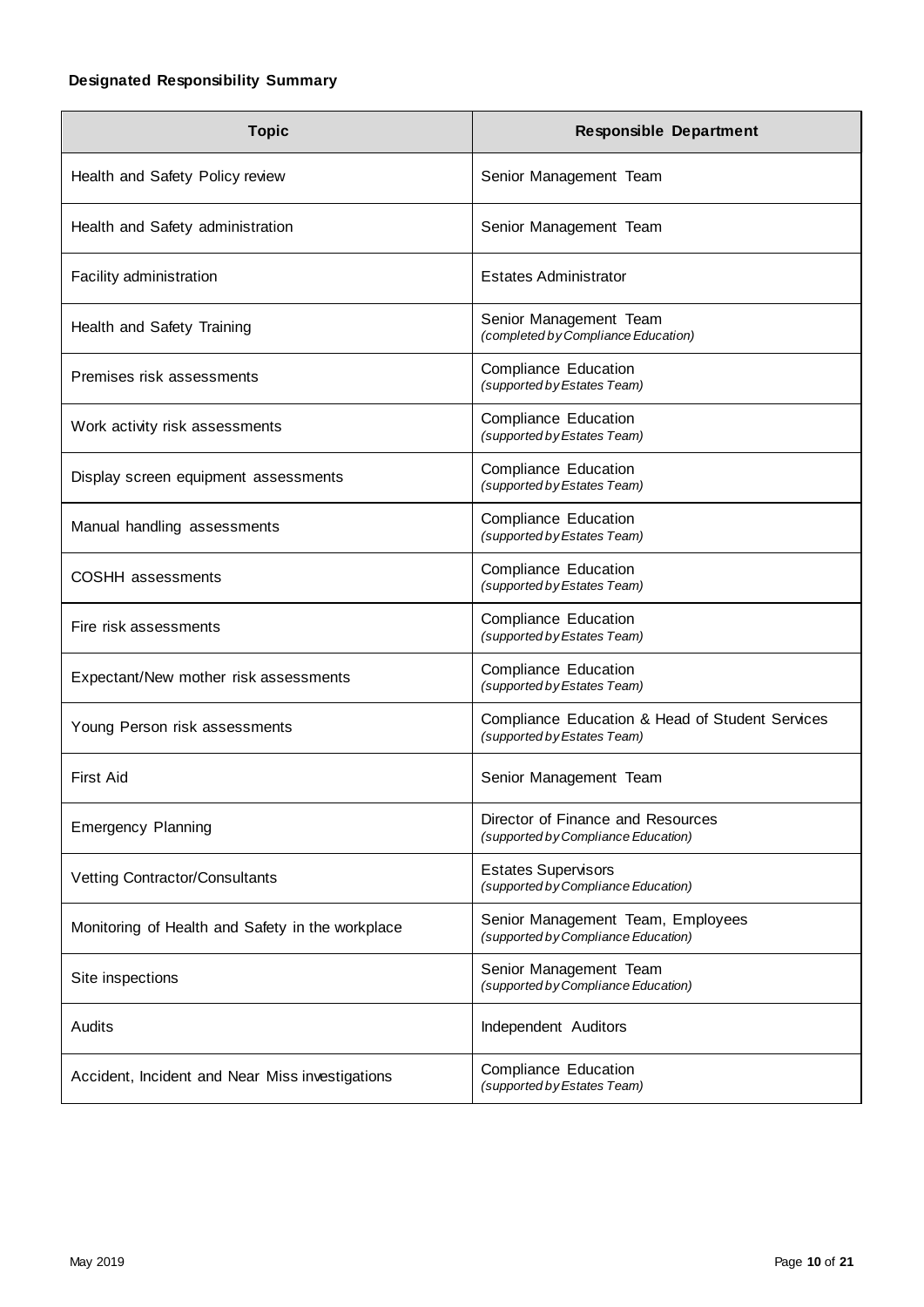# <span id="page-9-0"></span>**Designated Responsibility Summary**

<span id="page-9-1"></span>

| <b>Topic</b>                                     | <b>Responsible Department</b>                                                  |
|--------------------------------------------------|--------------------------------------------------------------------------------|
| Health and Safety Policy review                  | Senior Management Team                                                         |
| Health and Safety administration                 | Senior Management Team                                                         |
| Facility administration                          | <b>Estates Administrator</b>                                                   |
| Health and Safety Training                       | Senior Management Team<br>(completed by Compliance Education)                  |
| Premises risk assessments                        | <b>Compliance Education</b><br>(supported by Estates Team)                     |
| Work activity risk assessments                   | <b>Compliance Education</b><br>(supported by Estates Team)                     |
| Display screen equipment assessments             | <b>Compliance Education</b><br>(supported by Estates Team)                     |
| Manual handling assessments                      | <b>Compliance Education</b><br>(supported by Estates Team)                     |
| <b>COSHH</b> assessments                         | <b>Compliance Education</b><br>(supported by Estates Team)                     |
| Fire risk assessments                            | <b>Compliance Education</b><br>(supported by Estates Team)                     |
| Expectant/New mother risk assessments            | <b>Compliance Education</b><br>(supported by Estates Team)                     |
| Young Person risk assessments                    | Compliance Education & Head of Student Services<br>(supported by Estates Team) |
| <b>First Aid</b>                                 | Senior Management Team                                                         |
| <b>Emergency Planning</b>                        | Director of Finance and Resources<br>(supported by Compliance Education)       |
| Vetting Contractor/Consultants                   | <b>Estates Supervisors</b><br>(supported by Compliance Education)              |
| Monitoring of Health and Safety in the workplace | Senior Management Team, Employees<br>(supported by Compliance Education)       |
| Site inspections                                 | Senior Management Team<br>(supported by Compliance Education)                  |
| Audits                                           | Independent Auditors                                                           |
| Accident, Incident and Near Miss investigations  | <b>Compliance Education</b><br>(supported by Estates Team)                     |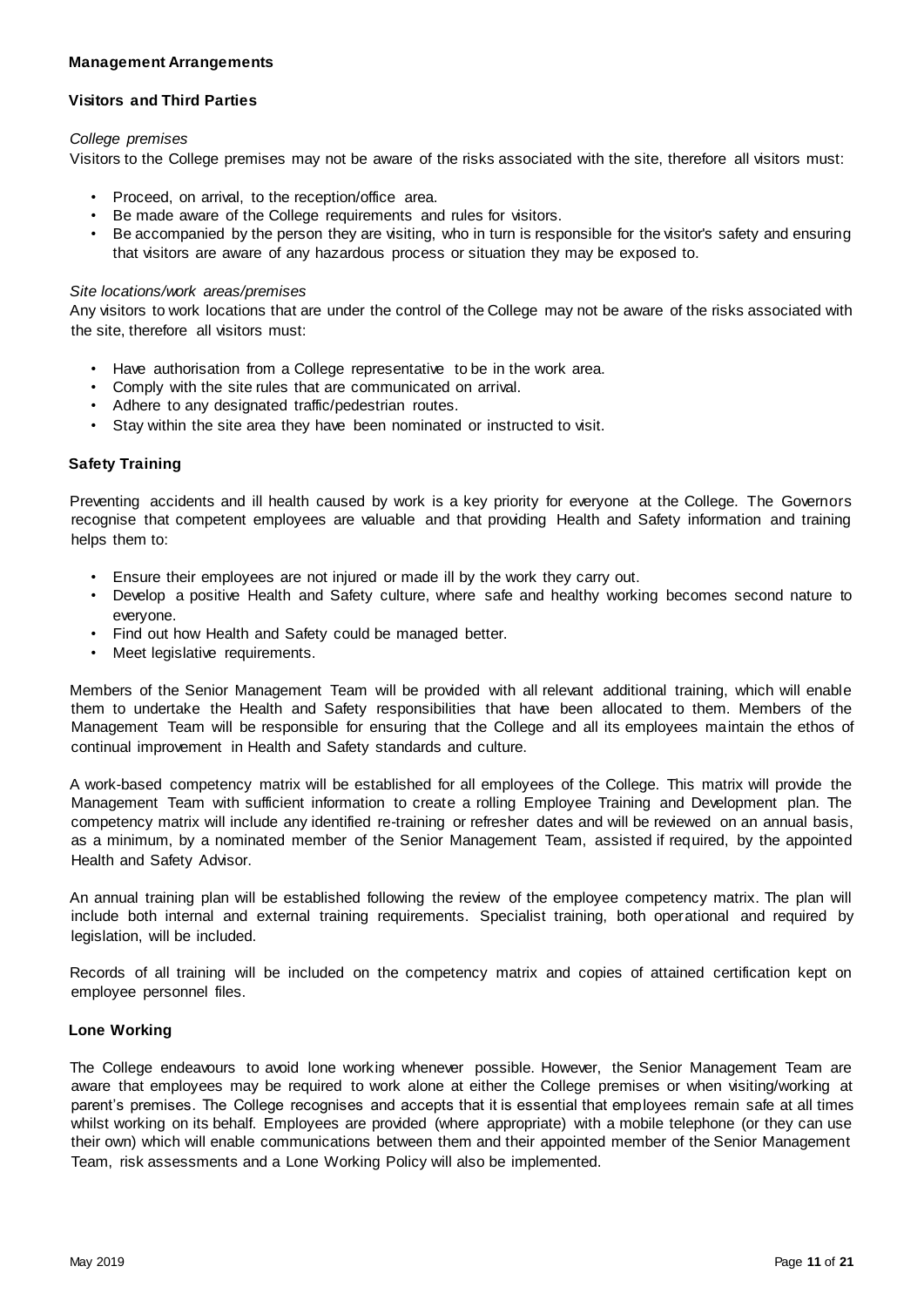#### **Management Arrangements**

#### <span id="page-10-0"></span>**Visitors and Third Parties**

#### *College premises*

Visitors to the College premises may not be aware of the risks associated with the site, therefore all visitors must:

- Proceed, on arrival, to the reception/office area.
- Be made aware of the College requirements and rules for visitors.
- Be accompanied by the person they are visiting, who in turn is responsible for the visitor's safety and ensuring that visitors are aware of any hazardous process or situation they may be exposed to.

#### *Site locations/work areas/premises*

Any visitors to work locations that are under the control of the College may not be aware of the risks associated with the site, therefore all visitors must:

- Have authorisation from a College representative to be in the work area.
- Comply with the site rules that are communicated on arrival.
- Adhere to any designated traffic/pedestrian routes.
- Stay within the site area they have been nominated or instructed to visit.

#### <span id="page-10-1"></span>**Safety Training**

Preventing accidents and ill health caused by work is a key priority for everyone at the College. The Governors recognise that competent employees are valuable and that providing Health and Safety information and training helps them to:

- Ensure their employees are not injured or made ill by the work they carry out.
- Develop a positive Health and Safety culture, where safe and healthy working becomes second nature to everyone.
- Find out how Health and Safety could be managed better.
- Meet legislative requirements.

Members of the Senior Management Team will be provided with all relevant additional training, which will enable them to undertake the Health and Safety responsibilities that have been allocated to them. Members of the Management Team will be responsible for ensuring that the College and all its employees maintain the ethos of continual improvement in Health and Safety standards and culture.

A work-based competency matrix will be established for all employees of the College. This matrix will provide the Management Team with sufficient information to create a rolling Employee Training and Development plan. The competency matrix will include any identified re-training or refresher dates and will be reviewed on an annual basis, as a minimum, by a nominated member of the Senior Management Team, assisted if required, by the appointed Health and Safety Advisor.

An annual training plan will be established following the review of the employee competency matrix. The plan will include both internal and external training requirements. Specialist training, both operational and required by legislation, will be included.

Records of all training will be included on the competency matrix and copies of attained certification kept on employee personnel files.

#### <span id="page-10-2"></span>**Lone Working**

The College endeavours to avoid lone working whenever possible. However, the Senior Management Team are aware that employees may be required to work alone at either the College premises or when visiting/working at parent's premises. The College recognises and accepts that it is essential that employees remain safe at all times whilst working on its behalf. Employees are provided (where appropriate) with a mobile telephone (or they can use their own) which will enable communications between them and their appointed member of the Senior Management Team, risk assessments and a Lone Working Policy will also be implemented.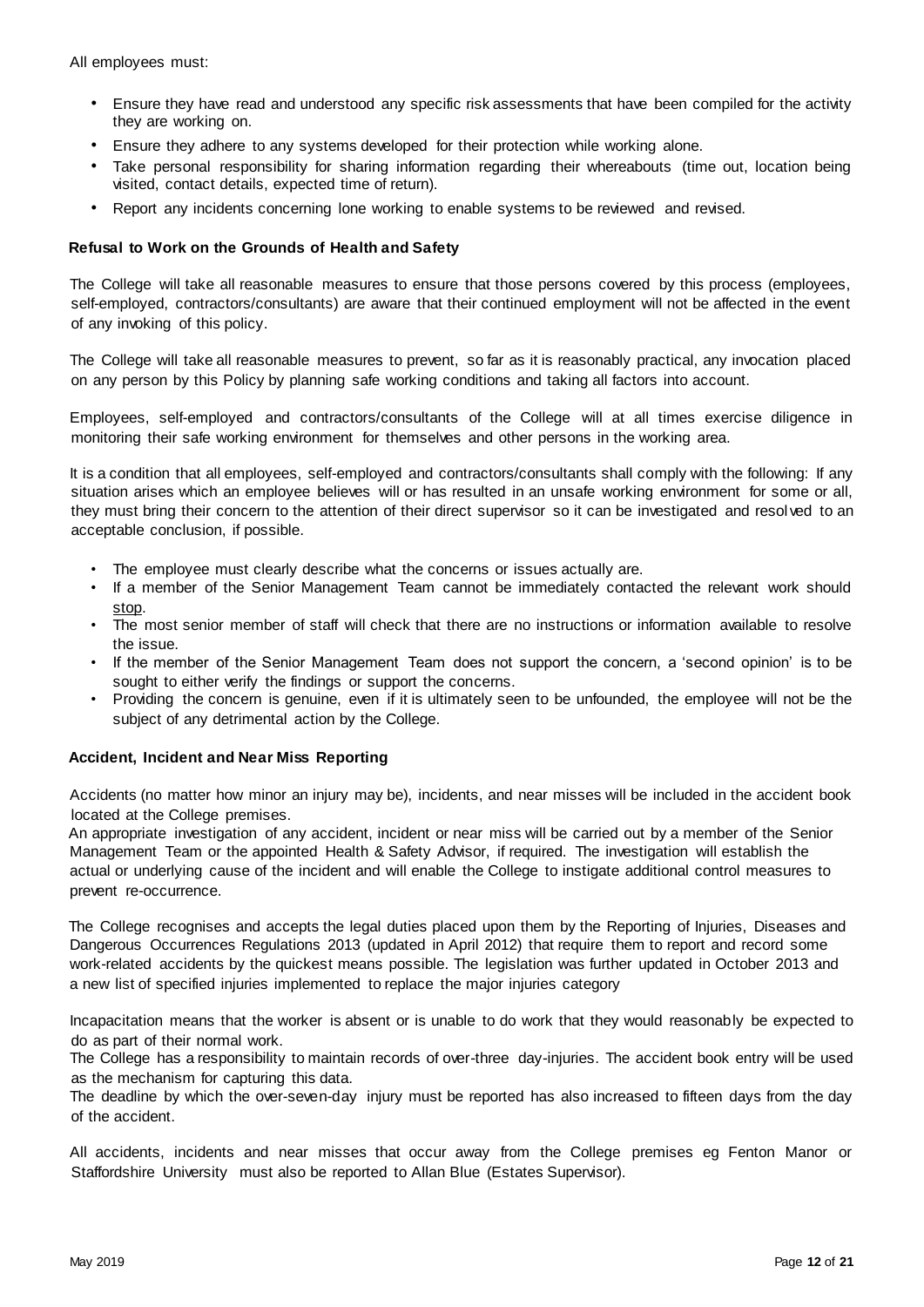All employees must:

- Ensure they have read and understood any specific risk assessments that have been compiled for the activity they are working on.
- Ensure they adhere to any systems developed for their protection while working alone.
- Take personal responsibility for sharing information regarding their whereabouts (time out, location being visited, contact details, expected time of return).
- Report any incidents concerning lone working to enable systems to be reviewed and revised.

#### <span id="page-11-0"></span>**Refusal to Work on the Grounds of Health and Safety**

The College will take all reasonable measures to ensure that those persons covered by this process (employees, self-employed, contractors/consultants) are aware that their continued employment will not be affected in the event of any invoking of this policy.

The College will take all reasonable measures to prevent, so far as it is reasonably practical, any invocation placed on any person by this Policy by planning safe working conditions and taking all factors into account.

Employees, self-employed and contractors/consultants of the College will at all times exercise diligence in monitoring their safe working environment for themselves and other persons in the working area.

It is a condition that all employees, self-employed and contractors/consultants shall comply with the following: If any situation arises which an employee believes will or has resulted in an unsafe working environment for some or all, they must bring their concern to the attention of their direct supervisor so it can be investigated and resol ved to an acceptable conclusion, if possible.

- The employee must clearly describe what the concerns or issues actually are.
- If a member of the Senior Management Team cannot be immediately contacted the relevant work should stop.
- The most senior member of staff will check that there are no instructions or information available to resolve the issue.
- If the member of the Senior Management Team does not support the concern, a 'second opinion' is to be sought to either verify the findings or support the concerns.
- Providing the concern is genuine, even if it is ultimately seen to be unfounded, the employee will not be the subject of any detrimental action by the College.

#### <span id="page-11-1"></span>**Accident, Incident and Near Miss Reporting**

Accidents (no matter how minor an injury may be), incidents, and near misses will be included in the accident book located at the College premises.

An appropriate investigation of any accident, incident or near miss will be carried out by a member of the Senior Management Team or the appointed Health & Safety Advisor, if required. The investigation will establish the actual or underlying cause of the incident and will enable the College to instigate additional control measures to prevent re-occurrence.

The College recognises and accepts the legal duties placed upon them by the Reporting of Injuries, Diseases and Dangerous Occurrences Regulations 2013 (updated in April 2012) that require them to report and record some work-related accidents by the quickest means possible. The legislation was further updated in October 2013 and a new list of specified injuries implemented to replace the major injuries category

Incapacitation means that the worker is absent or is unable to do work that they would reasonably be expected to do as part of their normal work.

The College has a responsibility to maintain records of over-three day-injuries. The accident book entry will be used as the mechanism for capturing this data.

The deadline by which the over-seven-day injury must be reported has also increased to fifteen days from the day of the accident.

All accidents, incidents and near misses that occur away from the College premises eg Fenton Manor or Staffordshire University must also be reported to Allan Blue (Estates Supervisor).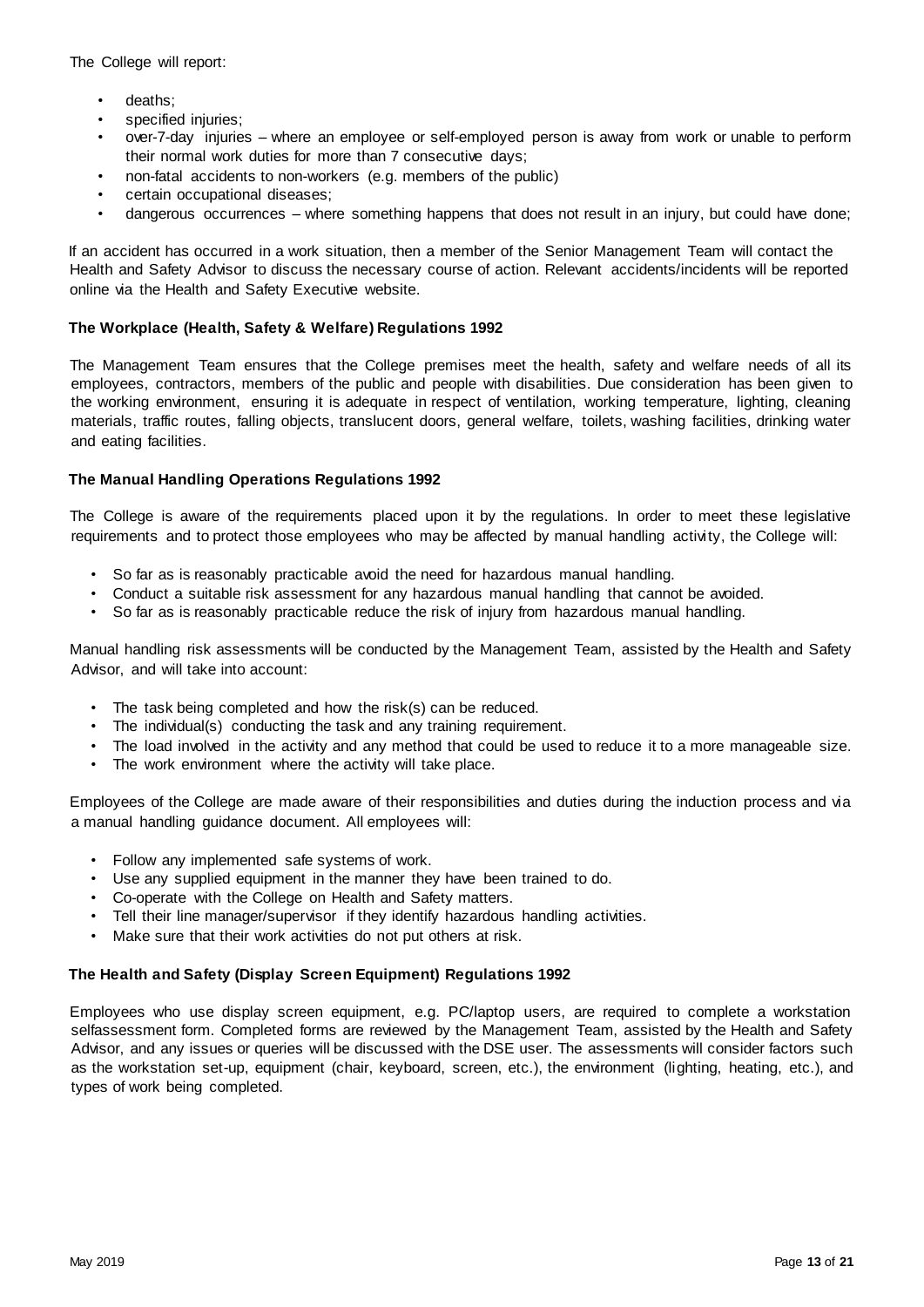The College will report:

- deaths:
- specified injuries;
- over-7-day injuries where an employee or self-employed person is away from work or unable to perform their normal work duties for more than 7 consecutive days;
- non-fatal accidents to non-workers (e.g. members of the public)
- certain occupational diseases;
- dangerous occurrences where something happens that does not result in an injury, but could have done;

If an accident has occurred in a work situation, then a member of the Senior Management Team will contact the Health and Safety Advisor to discuss the necessary course of action. Relevant accidents/incidents will be reported online via the Health and Safety Executive website.

#### <span id="page-12-0"></span>**The Workplace (Health, Safety & Welfare) Regulations 1992**

The Management Team ensures that the College premises meet the health, safety and welfare needs of all its employees, contractors, members of the public and people with disabilities. Due consideration has been given to the working environment, ensuring it is adequate in respect of ventilation, working temperature, lighting, cleaning materials, traffic routes, falling objects, translucent doors, general welfare, toilets, washing facilities, drinking water and eating facilities.

#### <span id="page-12-1"></span>**The Manual Handling Operations Regulations 1992**

The College is aware of the requirements placed upon it by the regulations. In order to meet these legislative requirements and to protect those employees who may be affected by manual handling activity, the College will:

- So far as is reasonably practicable avoid the need for hazardous manual handling.
- Conduct a suitable risk assessment for any hazardous manual handling that cannot be avoided.
- So far as is reasonably practicable reduce the risk of injury from hazardous manual handling.

Manual handling risk assessments will be conducted by the Management Team, assisted by the Health and Safety Advisor, and will take into account:

- The task being completed and how the risk(s) can be reduced.
- The individual(s) conducting the task and any training requirement.
- The load involved in the activity and any method that could be used to reduce it to a more manageable size.
- The work environment where the activity will take place.

Employees of the College are made aware of their responsibilities and duties during the induction process and via a manual handling guidance document. All employees will:

- Follow any implemented safe systems of work.
- Use any supplied equipment in the manner they have been trained to do.
- Co-operate with the College on Health and Safety matters.
- Tell their line manager/supervisor if they identify hazardous handling activities.
- Make sure that their work activities do not put others at risk.

#### <span id="page-12-2"></span>**The Health and Safety (Display Screen Equipment) Regulations 1992**

Employees who use display screen equipment, e.g. PC/laptop users, are required to complete a workstation selfassessment form. Completed forms are reviewed by the Management Team, assisted by the Health and Safety Advisor, and any issues or queries will be discussed with the DSE user. The assessments will consider factors such as the workstation set-up, equipment (chair, keyboard, screen, etc.), the environment (lighting, heating, etc.), and types of work being completed.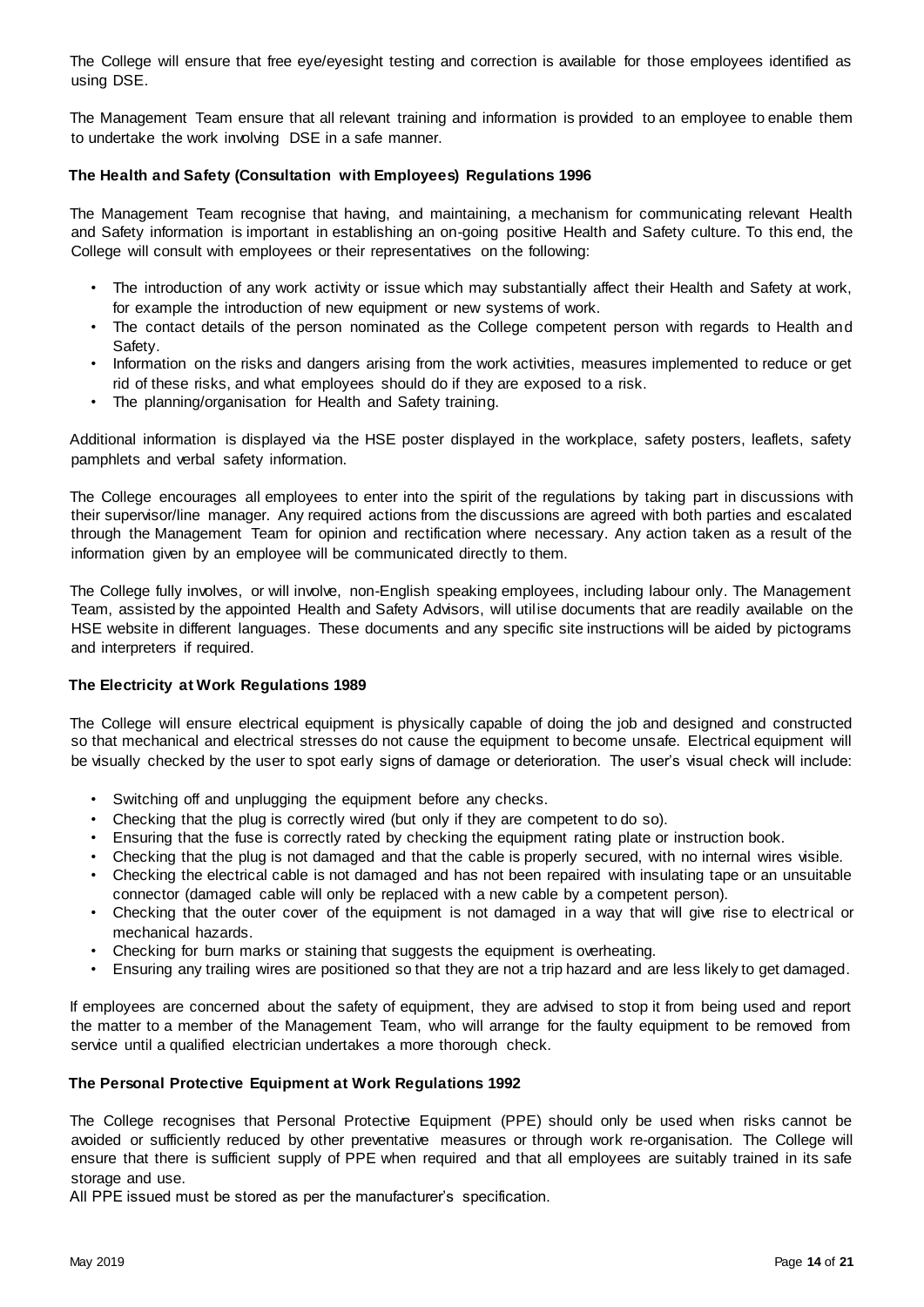The College will ensure that free eye/eyesight testing and correction is available for those employees identified as using DSE.

The Management Team ensure that all relevant training and information is provided to an employee to enable them to undertake the work involving DSE in a safe manner.

#### <span id="page-13-0"></span>**The Health and Safety (Consultation with Employees) Regulations 1996**

The Management Team recognise that having, and maintaining, a mechanism for communicating relevant Health and Safety information is important in establishing an on-going positive Health and Safety culture. To this end, the College will consult with employees or their representatives on the following:

- The introduction of any work activity or issue which may substantially affect their Health and Safety at work, for example the introduction of new equipment or new systems of work.
- The contact details of the person nominated as the College competent person with regards to Health and Safety.
- Information on the risks and dangers arising from the work activities, measures implemented to reduce or get rid of these risks, and what employees should do if they are exposed to a risk.
- The planning/organisation for Health and Safety training.

Additional information is displayed via the HSE poster displayed in the workplace, safety posters, leaflets, safety pamphlets and verbal safety information.

The College encourages all employees to enter into the spirit of the regulations by taking part in discussions with their supervisor/line manager. Any required actions from the discussions are agreed with both parties and escalated through the Management Team for opinion and rectification where necessary. Any action taken as a result of the information given by an employee will be communicated directly to them.

The College fully involves, or will involve, non-English speaking employees, including labour only. The Management Team, assisted by the appointed Health and Safety Advisors, will utilise documents that are readily available on the HSE website in different languages. These documents and any specific site instructions will be aided by pictograms and interpreters if required.

#### <span id="page-13-1"></span>**The Electricity at Work Regulations 1989**

The College will ensure electrical equipment is physically capable of doing the job and designed and constructed so that mechanical and electrical stresses do not cause the equipment to become unsafe. Electrical equipment will be visually checked by the user to spot early signs of damage or deterioration. The user's visual check will include:

- Switching off and unplugging the equipment before any checks.
- Checking that the plug is correctly wired (but only if they are competent to do so).
- Ensuring that the fuse is correctly rated by checking the equipment rating plate or instruction book.
- Checking that the plug is not damaged and that the cable is properly secured, with no internal wires visible.
- Checking the electrical cable is not damaged and has not been repaired with insulating tape or an unsuitable connector (damaged cable will only be replaced with a new cable by a competent person).
- Checking that the outer cover of the equipment is not damaged in a way that will give rise to electrical or mechanical hazards.
- Checking for burn marks or staining that suggests the equipment is overheating.
- Ensuring any trailing wires are positioned so that they are not a trip hazard and are less likely to get damaged.

If employees are concerned about the safety of equipment, they are advised to stop it from being used and report the matter to a member of the Management Team, who will arrange for the faulty equipment to be removed from service until a qualified electrician undertakes a more thorough check.

#### <span id="page-13-2"></span>**The Personal Protective Equipment at Work Regulations 1992**

The College recognises that Personal Protective Equipment (PPE) should only be used when risks cannot be avoided or sufficiently reduced by other preventative measures or through work re-organisation. The College will ensure that there is sufficient supply of PPE when required and that all employees are suitably trained in its safe storage and use.

All PPE issued must be stored as per the manufacturer's specification.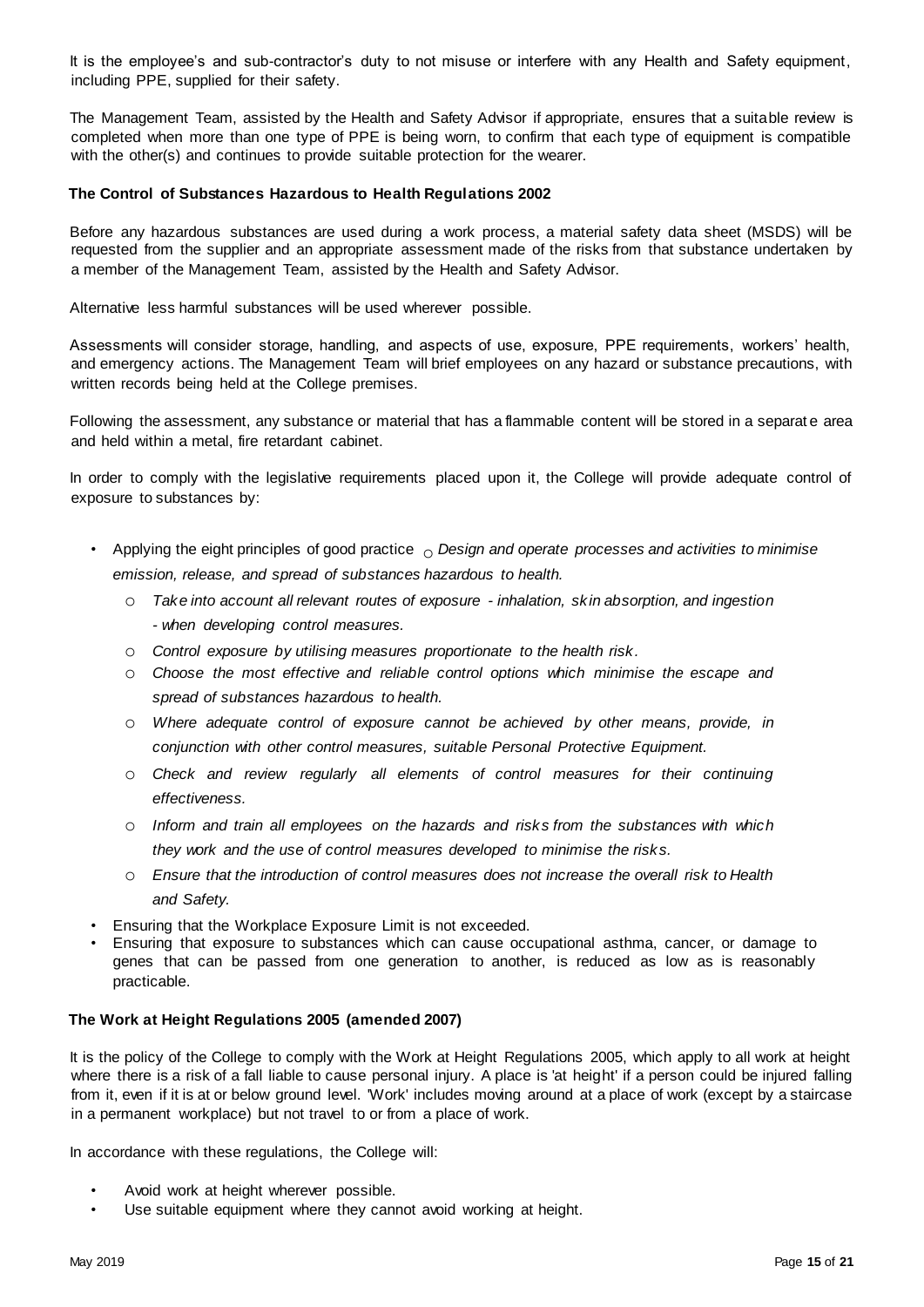It is the employee's and sub-contractor's duty to not misuse or interfere with any Health and Safety equipment, including PPE, supplied for their safety.

The Management Team, assisted by the Health and Safety Advisor if appropriate, ensures that a suitable review is completed when more than one type of PPE is being worn, to confirm that each type of equipment is compatible with the other(s) and continues to provide suitable protection for the wearer.

#### <span id="page-14-0"></span>**The Control of Substances Hazardous to Health Regulations 2002**

Before any hazardous substances are used during a work process, a material safety data sheet (MSDS) will be requested from the supplier and an appropriate assessment made of the risks from that substance undertaken by a member of the Management Team, assisted by the Health and Safety Advisor.

Alternative less harmful substances will be used wherever possible.

Assessments will consider storage, handling, and aspects of use, exposure, PPE requirements, workers' health, and emergency actions. The Management Team will brief employees on any hazard or substance precautions, with written records being held at the College premises.

Following the assessment, any substance or material that has a flammable content will be stored in a separat e area and held within a metal, fire retardant cabinet.

In order to comply with the legislative requirements placed upon it, the College will provide adequate control of exposure to substances by:

- Applying the eight principles of good practice  $\circ$  *Design and operate processes and activities to minimise emission, release, and spread of substances hazardous to health.* 
	- o *Take into account all relevant routes of exposure - inhalation, skin absorption, and ingestion - when developing control measures.*
	- o *Control exposure by utilising measures proportionate to the health risk.*
	- o *Choose the most effective and reliable control options which minimise the escape and spread of substances hazardous to health.*
	- o *Where adequate control of exposure cannot be achieved by other means, provide, in conjunction with other control measures, suitable Personal Protective Equipment.*
	- o *Check and review regularly all elements of control measures for their continuing effectiveness.*
	- o *Inform and train all employees on the hazards and risks from the substances with which they work and the use of control measures developed to minimise the risks.*
	- o *Ensure that the introduction of control measures does not increase the overall risk to Health and Safety.*
- Ensuring that the Workplace Exposure Limit is not exceeded.
- Ensuring that exposure to substances which can cause occupational asthma, cancer, or damage to genes that can be passed from one generation to another, is reduced as low as is reasonably practicable.

#### <span id="page-14-1"></span>**The Work at Height Regulations 2005 (amended 2007)**

It is the policy of the College to comply with the Work at Height Regulations 2005, which apply to all work at height where there is a risk of a fall liable to cause personal injury. A place is 'at height' if a person could be injured falling from it, even if it is at or below ground level. 'Work' includes moving around at a place of work (except by a staircase in a permanent workplace) but not travel to or from a place of work.

In accordance with these regulations, the College will:

- Avoid work at height wherever possible.
- Use suitable equipment where they cannot avoid working at height.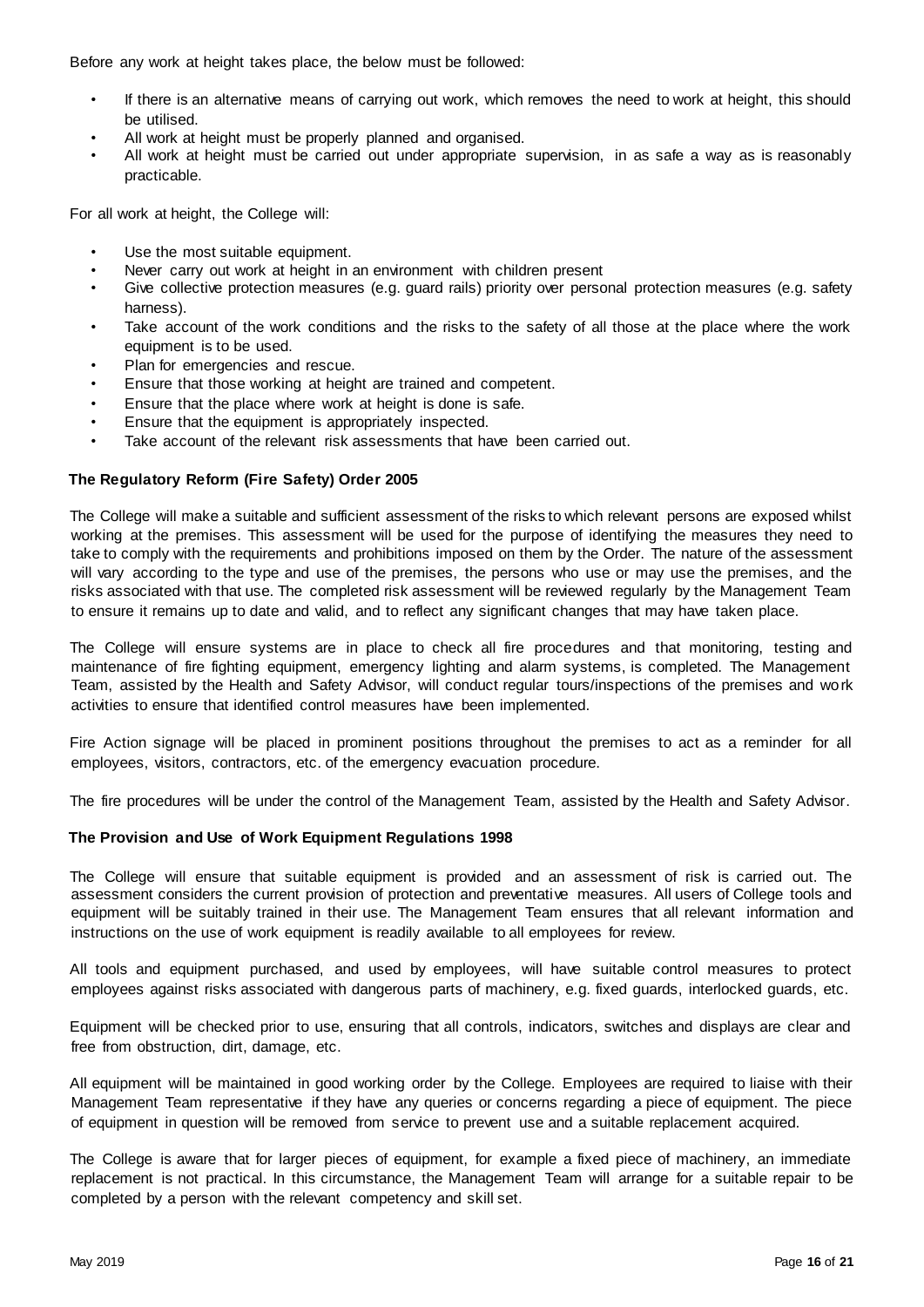Before any work at height takes place, the below must be followed:

- If there is an alternative means of carrying out work, which removes the need to work at height, this should be utilised.
- All work at height must be properly planned and organised.
- All work at height must be carried out under appropriate supervision, in as safe a way as is reasonably practicable.

For all work at height, the College will:

- Use the most suitable equipment.
- Never carry out work at height in an environment with children present
- Give collective protection measures (e.g. guard rails) priority over personal protection measures (e.g. safety harness).
- Take account of the work conditions and the risks to the safety of all those at the place where the work equipment is to be used.
- Plan for emergencies and rescue.
- Ensure that those working at height are trained and competent.
- Ensure that the place where work at height is done is safe.
- Ensure that the equipment is appropriately inspected.
- Take account of the relevant risk assessments that have been carried out.

#### <span id="page-15-0"></span>**The Regulatory Reform (Fire Safety) Order 2005**

The College will make a suitable and sufficient assessment of the risks to which relevant persons are exposed whilst working at the premises. This assessment will be used for the purpose of identifying the measures they need to take to comply with the requirements and prohibitions imposed on them by the Order. The nature of the assessment will vary according to the type and use of the premises, the persons who use or may use the premises, and the risks associated with that use. The completed risk assessment will be reviewed regularly by the Management Team to ensure it remains up to date and valid, and to reflect any significant changes that may have taken place.

The College will ensure systems are in place to check all fire procedures and that monitoring, testing and maintenance of fire fighting equipment, emergency lighting and alarm systems, is completed. The Management Team, assisted by the Health and Safety Advisor, will conduct regular tours/inspections of the premises and work activities to ensure that identified control measures have been implemented.

Fire Action signage will be placed in prominent positions throughout the premises to act as a reminder for all employees, visitors, contractors, etc. of the emergency evacuation procedure.

The fire procedures will be under the control of the Management Team, assisted by the Health and Safety Advisor.

#### <span id="page-15-1"></span>**The Provision and Use of Work Equipment Regulations 1998**

The College will ensure that suitable equipment is provided and an assessment of risk is carried out. The assessment considers the current provision of protection and preventative measures. All users of College tools and equipment will be suitably trained in their use. The Management Team ensures that all relevant information and instructions on the use of work equipment is readily available to all employees for review.

All tools and equipment purchased, and used by employees, will have suitable control measures to protect employees against risks associated with dangerous parts of machinery, e.g. fixed guards, interlocked guards, etc.

Equipment will be checked prior to use, ensuring that all controls, indicators, switches and displays are clear and free from obstruction, dirt, damage, etc.

All equipment will be maintained in good working order by the College. Employees are required to liaise with their Management Team representative if they have any queries or concerns regarding a piece of equipment. The piece of equipment in question will be removed from service to prevent use and a suitable replacement acquired.

The College is aware that for larger pieces of equipment, for example a fixed piece of machinery, an immediate replacement is not practical. In this circumstance, the Management Team will arrange for a suitable repair to be completed by a person with the relevant competency and skill set.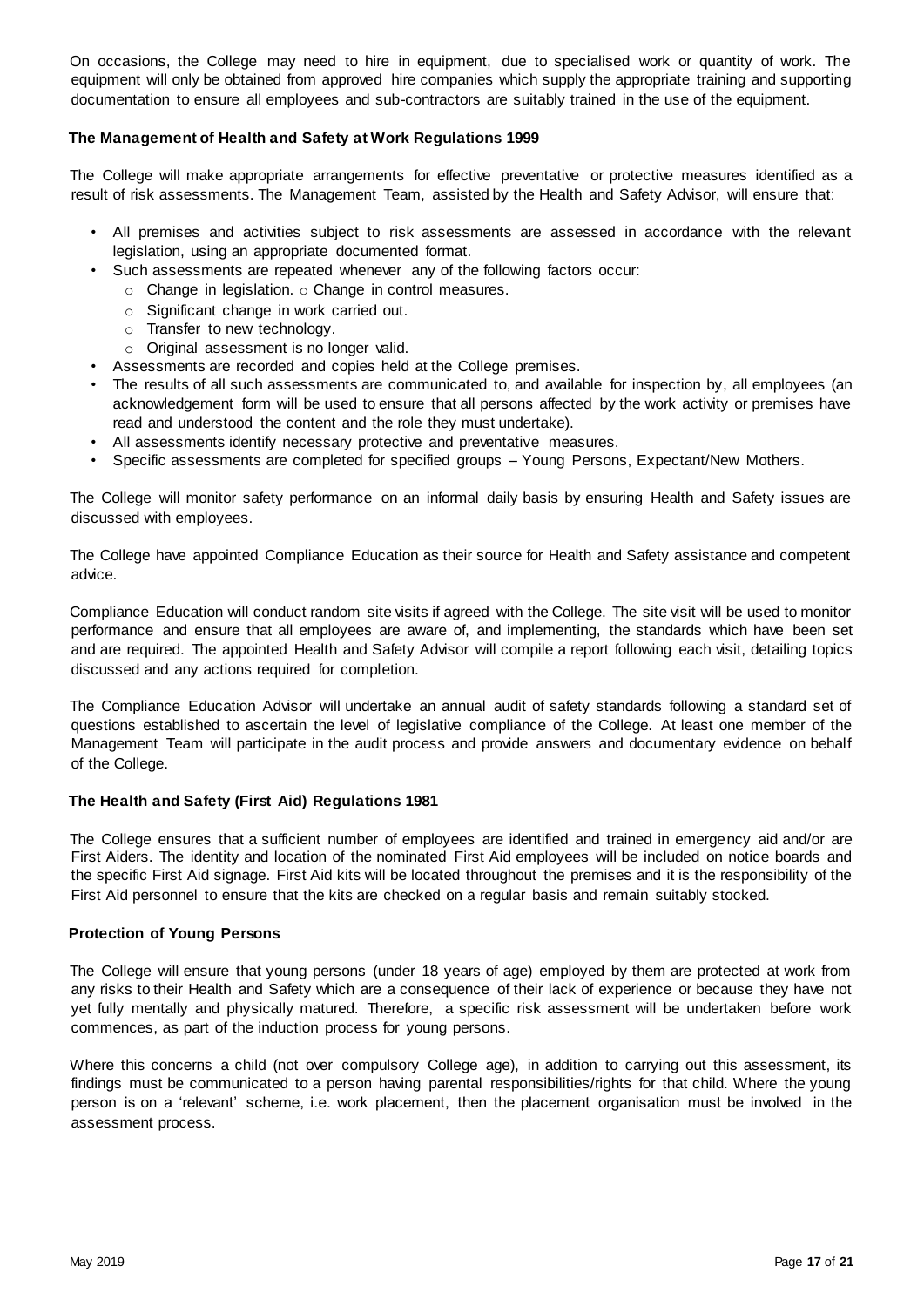On occasions, the College may need to hire in equipment, due to specialised work or quantity of work. The equipment will only be obtained from approved hire companies which supply the appropriate training and supporting documentation to ensure all employees and sub-contractors are suitably trained in the use of the equipment.

#### <span id="page-16-0"></span>**The Management of Health and Safety at Work Regulations 1999**

The College will make appropriate arrangements for effective preventative or protective measures identified as a result of risk assessments. The Management Team, assisted by the Health and Safety Advisor, will ensure that:

- All premises and activities subject to risk assessments are assessed in accordance with the relevant legislation, using an appropriate documented format.
- Such assessments are repeated whenever any of the following factors occur:
	- o Change in legislation. o Change in control measures.
	- o Significant change in work carried out.
	- o Transfer to new technology.
	- o Original assessment is no longer valid.
- Assessments are recorded and copies held at the College premises.
- The results of all such assessments are communicated to, and available for inspection by, all employees (an acknowledgement form will be used to ensure that all persons affected by the work activity or premises have read and understood the content and the role they must undertake).
- All assessments identify necessary protective and preventative measures.
- Specific assessments are completed for specified groups Young Persons, Expectant/New Mothers.

The College will monitor safety performance on an informal daily basis by ensuring Health and Safety issues are discussed with employees.

The College have appointed Compliance Education as their source for Health and Safety assistance and competent advice.

Compliance Education will conduct random site visits if agreed with the College. The site visit will be used to monitor performance and ensure that all employees are aware of, and implementing, the standards which have been set and are required. The appointed Health and Safety Advisor will compile a report following each visit, detailing topics discussed and any actions required for completion.

The Compliance Education Advisor will undertake an annual audit of safety standards following a standard set of questions established to ascertain the level of legislative compliance of the College. At least one member of the Management Team will participate in the audit process and provide answers and documentary evidence on behalf of the College.

#### <span id="page-16-1"></span>**The Health and Safety (First Aid) Regulations 1981**

The College ensures that a sufficient number of employees are identified and trained in emergency aid and/or are First Aiders. The identity and location of the nominated First Aid employees will be included on notice boards and the specific First Aid signage. First Aid kits will be located throughout the premises and it is the responsibility of the First Aid personnel to ensure that the kits are checked on a regular basis and remain suitably stocked.

#### <span id="page-16-2"></span>**Protection of Young Persons**

The College will ensure that young persons (under 18 years of age) employed by them are protected at work from any risks to their Health and Safety which are a consequence of their lack of experience or because they have not yet fully mentally and physically matured. Therefore, a specific risk assessment will be undertaken before work commences, as part of the induction process for young persons.

<span id="page-16-3"></span>Where this concerns a child (not over compulsory College age), in addition to carrying out this assessment, its findings must be communicated to a person having parental responsibilities/rights for that child. Where the young person is on a 'relevant' scheme, i.e. work placement, then the placement organisation must be involved in the assessment process.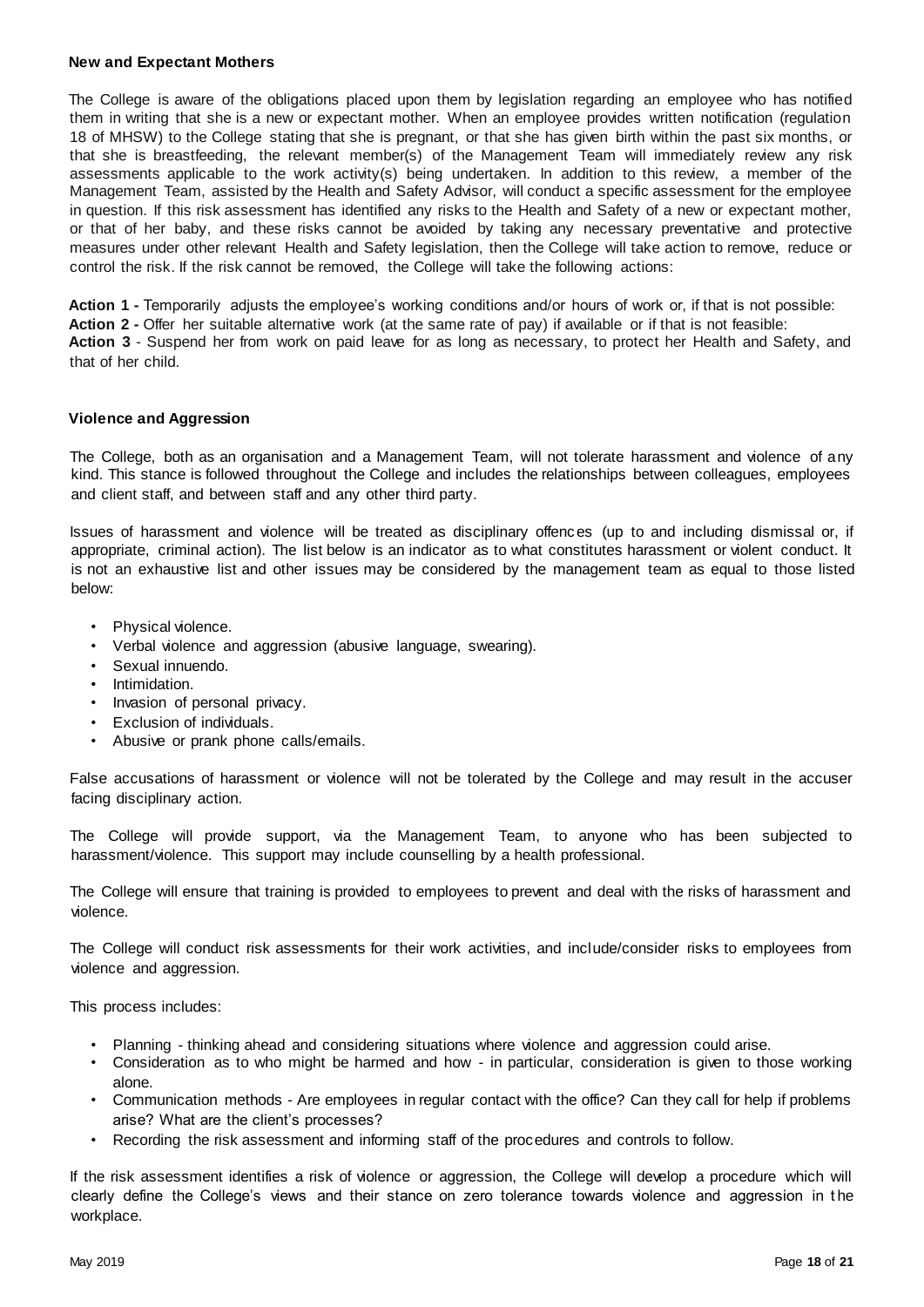#### **New and Expectant Mothers**

The College is aware of the obligations placed upon them by legislation regarding an employee who has notified them in writing that she is a new or expectant mother. When an employee provides written notification (regulation 18 of MHSW) to the College stating that she is pregnant, or that she has given birth within the past six months, or that she is breastfeeding, the relevant member(s) of the Management Team will immediately review any risk assessments applicable to the work activity(s) being undertaken. In addition to this review, a member of the Management Team, assisted by the Health and Safety Advisor, will conduct a specific assessment for the employee in question. If this risk assessment has identified any risks to the Health and Safety of a new or expectant mother, or that of her baby, and these risks cannot be avoided by taking any necessary preventative and protective measures under other relevant Health and Safety legislation, then the College will take action to remove, reduce or control the risk. If the risk cannot be removed, the College will take the following actions:

**Action 1 -** Temporarily adjusts the employee's working conditions and/or hours of work or, if that is not possible: **Action 2 -** Offer her suitable alternative work (at the same rate of pay) if available or if that is not feasible: **Action 3** - Suspend her from work on paid leave for as long as necessary, to protect her Health and Safety, and that of her child.

#### <span id="page-17-0"></span>**Violence and Aggression**

The College, both as an organisation and a Management Team, will not tolerate harassment and violence of any kind. This stance is followed throughout the College and includes the relationships between colleagues, employees and client staff, and between staff and any other third party.

Issues of harassment and violence will be treated as disciplinary offences (up to and including dismissal or, if appropriate, criminal action). The list below is an indicator as to what constitutes harassment or violent conduct. It is not an exhaustive list and other issues may be considered by the management team as equal to those listed below:

- Physical violence.
- Verbal violence and aggression (abusive language, swearing).
- Sexual innuendo.
- Intimidation.
- Invasion of personal privacy.
- Exclusion of individuals.
- Abusive or prank phone calls/emails.

False accusations of harassment or violence will not be tolerated by the College and may result in the accuser facing disciplinary action.

The College will provide support, via the Management Team, to anyone who has been subjected to harassment/violence. This support may include counselling by a health professional.

The College will ensure that training is provided to employees to prevent and deal with the risks of harassment and violence.

The College will conduct risk assessments for their work activities, and include/consider risks to employees from violence and aggression.

This process includes:

- Planning thinking ahead and considering situations where violence and aggression could arise.
- Consideration as to who might be harmed and how in particular, consideration is given to those working alone.
- Communication methods Are employees in regular contact with the office? Can they call for help if problems arise? What are the client's processes?
- Recording the risk assessment and informing staff of the procedures and controls to follow.

If the risk assessment identifies a risk of violence or aggression, the College will develop a procedure which will clearly define the College's views and their stance on zero tolerance towards violence and aggression in t he workplace.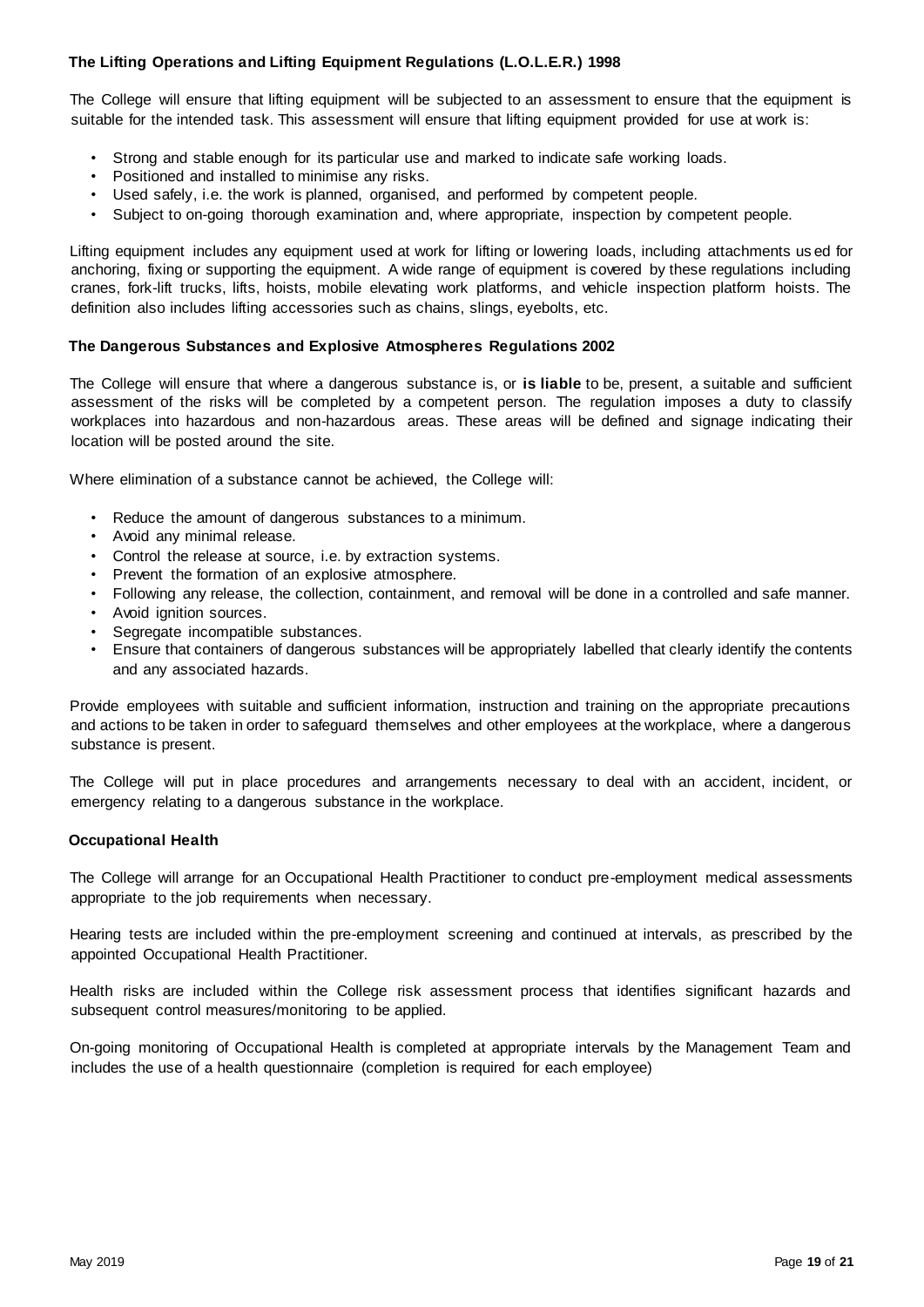### <span id="page-18-0"></span>**The Lifting Operations and Lifting Equipment Regulations (L.O.L.E.R.) 1998**

The College will ensure that lifting equipment will be subjected to an assessment to ensure that the equipment is suitable for the intended task. This assessment will ensure that lifting equipment provided for use at work is:

- Strong and stable enough for its particular use and marked to indicate safe working loads.
- Positioned and installed to minimise any risks.
- Used safely, i.e. the work is planned, organised, and performed by competent people.
- Subject to on-going thorough examination and, where appropriate, inspection by competent people.

Lifting equipment includes any equipment used at work for lifting or lowering loads, including attachments us ed for anchoring, fixing or supporting the equipment. A wide range of equipment is covered by these regulations including cranes, fork-lift trucks, lifts, hoists, mobile elevating work platforms, and vehicle inspection platform hoists. The definition also includes lifting accessories such as chains, slings, eyebolts, etc.

#### <span id="page-18-1"></span>**The Dangerous Substances and Explosive Atmospheres Regulations 2002**

The College will ensure that where a dangerous substance is, or **is liable** to be, present, a suitable and sufficient assessment of the risks will be completed by a competent person. The regulation imposes a duty to classify workplaces into hazardous and non-hazardous areas. These areas will be defined and signage indicating their location will be posted around the site.

Where elimination of a substance cannot be achieved, the College will:

- Reduce the amount of dangerous substances to a minimum.
- Avoid any minimal release.
- Control the release at source, i.e. by extraction systems.
- Prevent the formation of an explosive atmosphere.
- Following any release, the collection, containment, and removal will be done in a controlled and safe manner.
- Avoid ignition sources.
- Segregate incompatible substances.
- Ensure that containers of dangerous substances will be appropriately labelled that clearly identify the contents and any associated hazards.

Provide employees with suitable and sufficient information, instruction and training on the appropriate precautions and actions to be taken in order to safeguard themselves and other employees at the workplace, where a dangerous substance is present.

The College will put in place procedures and arrangements necessary to deal with an accident, incident, or emergency relating to a dangerous substance in the workplace.

#### <span id="page-18-2"></span>**Occupational Health**

The College will arrange for an Occupational Health Practitioner to conduct pre-employment medical assessments appropriate to the job requirements when necessary.

Hearing tests are included within the pre-employment screening and continued at intervals, as prescribed by the appointed Occupational Health Practitioner.

Health risks are included within the College risk assessment process that identifies significant hazards and subsequent control measures/monitoring to be applied.

<span id="page-18-3"></span>On-going monitoring of Occupational Health is completed at appropriate intervals by the Management Team and includes the use of a health questionnaire (completion is required for each employee)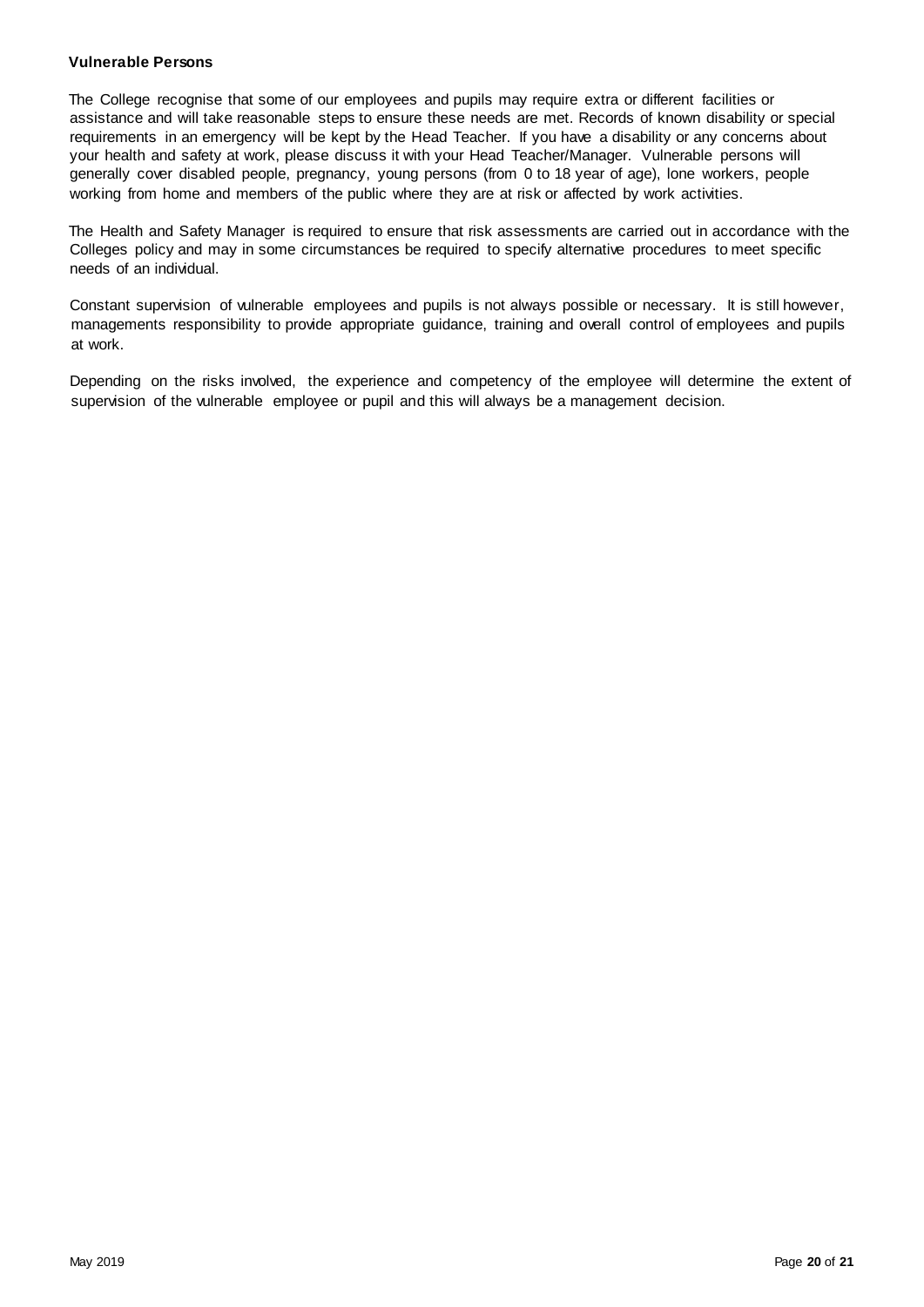#### **Vulnerable Persons**

The College recognise that some of our employees and pupils may require extra or different facilities or assistance and will take reasonable steps to ensure these needs are met. Records of known disability or special requirements in an emergency will be kept by the Head Teacher. If you have a disability or any concerns about your health and safety at work, please discuss it with your Head Teacher/Manager. Vulnerable persons will generally cover disabled people, pregnancy, young persons (from 0 to 18 year of age), lone workers, people working from home and members of the public where they are at risk or affected by work activities.

The Health and Safety Manager is required to ensure that risk assessments are carried out in accordance with the Colleges policy and may in some circumstances be required to specify alternative procedures to meet specific needs of an individual.

Constant supervision of vulnerable employees and pupils is not always possible or necessary. It is still however, managements responsibility to provide appropriate guidance, training and overall control of employees and pupils at work.

Depending on the risks involved, the experience and competency of the employee will determine the extent of supervision of the vulnerable employee or pupil and this will always be a management decision.